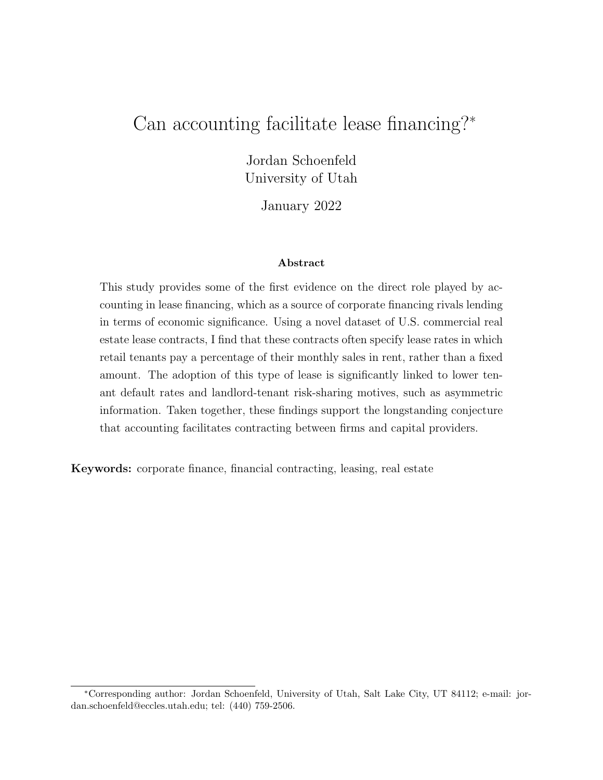# Can accounting facilitate lease financing?<sup>∗</sup>

Jordan Schoenfeld University of Utah

January 2022

#### Abstract

This study provides some of the first evidence on the direct role played by accounting in lease financing, which as a source of corporate financing rivals lending in terms of economic significance. Using a novel dataset of U.S. commercial real estate lease contracts, I find that these contracts often specify lease rates in which retail tenants pay a percentage of their monthly sales in rent, rather than a fixed amount. The adoption of this type of lease is significantly linked to lower tenant default rates and landlord-tenant risk-sharing motives, such as asymmetric information. Taken together, these findings support the longstanding conjecture that accounting facilitates contracting between firms and capital providers.

Keywords: corporate finance, financial contracting, leasing, real estate

<sup>∗</sup>Corresponding author: Jordan Schoenfeld, University of Utah, Salt Lake City, UT 84112; e-mail: jordan.schoenfeld@eccles.utah.edu; tel: (440) 759-2506.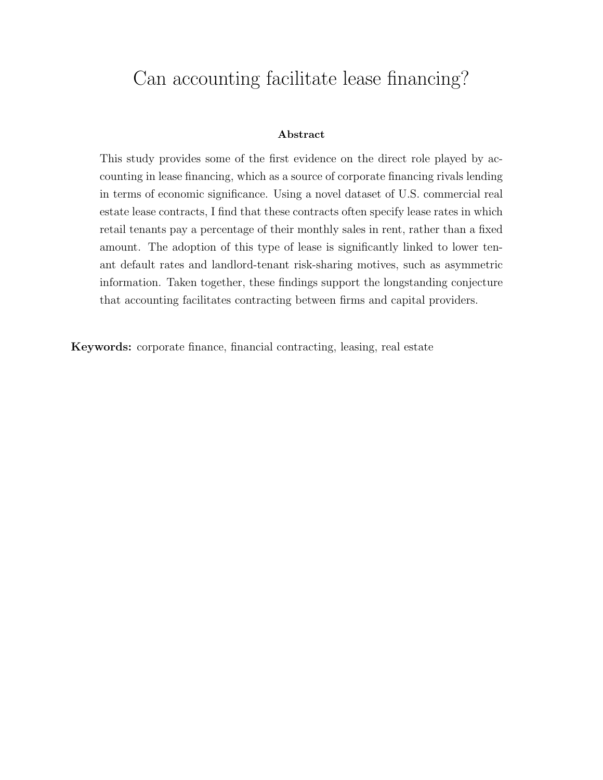# Can accounting facilitate lease financing?

#### Abstract

This study provides some of the first evidence on the direct role played by accounting in lease financing, which as a source of corporate financing rivals lending in terms of economic significance. Using a novel dataset of U.S. commercial real estate lease contracts, I find that these contracts often specify lease rates in which retail tenants pay a percentage of their monthly sales in rent, rather than a fixed amount. The adoption of this type of lease is significantly linked to lower tenant default rates and landlord-tenant risk-sharing motives, such as asymmetric information. Taken together, these findings support the longstanding conjecture that accounting facilitates contracting between firms and capital providers.

Keywords: corporate finance, financial contracting, leasing, real estate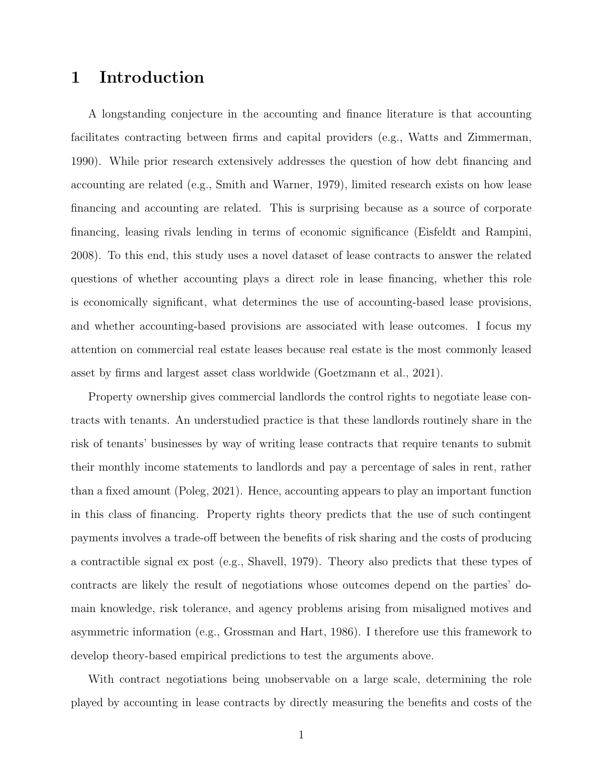# 1 Introduction

A longstanding conjecture in the accounting and finance literature is that accounting facilitates contracting between firms and capital providers (e.g., [Watts and Zimmerman,](#page-40-0) [1990\)](#page-40-0). While prior research extensively addresses the question of how debt financing and accounting are related (e.g., [Smith and Warner,](#page-39-0) [1979\)](#page-39-0), limited research exists on how lease financing and accounting are related. This is surprising because as a source of corporate financing, leasing rivals lending in terms of economic significance [\(Eisfeldt and Rampini,](#page-34-0) [2008\)](#page-34-0). To this end, this study uses a novel dataset of lease contracts to answer the related questions of whether accounting plays a direct role in lease financing, whether this role is economically significant, what determines the use of accounting-based lease provisions, and whether accounting-based provisions are associated with lease outcomes. I focus my attention on commercial real estate leases because real estate is the most commonly leased asset by firms and largest asset class worldwide [\(Goetzmann et al.,](#page-34-1) [2021\)](#page-34-1).

Property ownership gives commercial landlords the control rights to negotiate lease contracts with tenants. An understudied practice is that these landlords routinely share in the risk of tenants' businesses by way of writing lease contracts that require tenants to submit their monthly income statements to landlords and pay a percentage of sales in rent, rather than a fixed amount [\(Poleg,](#page-38-0) [2021\)](#page-38-0). Hence, accounting appears to play an important function in this class of financing. Property rights theory predicts that the use of such contingent payments involves a trade-off between the benefits of risk sharing and the costs of producing a contractible signal ex post (e.g., [Shavell,](#page-39-1) [1979\)](#page-39-1). Theory also predicts that these types of contracts are likely the result of negotiations whose outcomes depend on the parties' domain knowledge, risk tolerance, and agency problems arising from misaligned motives and asymmetric information (e.g., [Grossman and Hart,](#page-35-0) [1986\)](#page-35-0). I therefore use this framework to develop theory-based empirical predictions to test the arguments above.

With contract negotiations being unobservable on a large scale, determining the role played by accounting in lease contracts by directly measuring the benefits and costs of the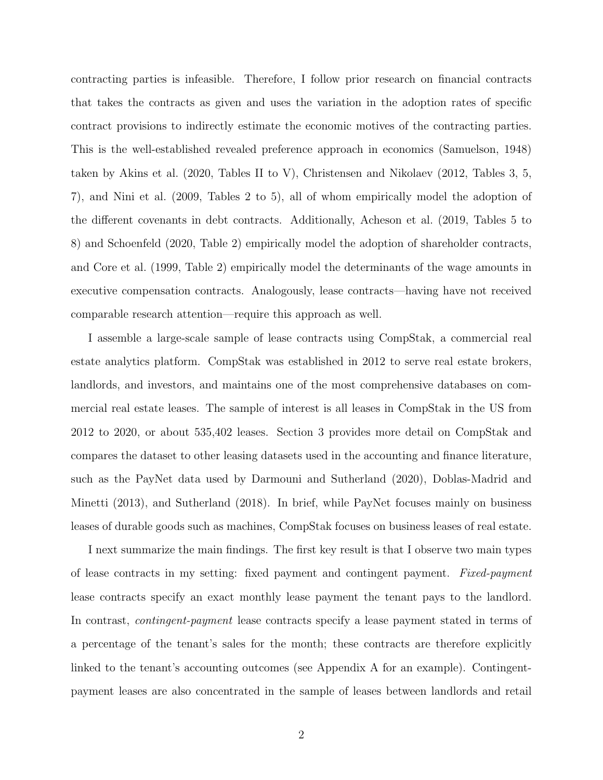contracting parties is infeasible. Therefore, I follow prior research on financial contracts that takes the contracts as given and uses the variation in the adoption rates of specific contract provisions to indirectly estimate the economic motives of the contracting parties. This is the well-established revealed preference approach in economics [\(Samuelson,](#page-39-2) [1948\)](#page-39-2) taken by [Akins et al.](#page-30-0) [\(2020,](#page-30-0) Tables II to V), [Christensen and Nikolaev](#page-32-0) [\(2012,](#page-32-0) Tables 3, 5, 7), and [Nini et al.](#page-38-1) [\(2009,](#page-38-1) Tables 2 to 5), all of whom empirically model the adoption of the different covenants in debt contracts. Additionally, [Acheson et al.](#page-30-1) [\(2019,](#page-30-1) Tables 5 to 8) and [Schoenfeld](#page-39-3) [\(2020,](#page-39-3) Table 2) empirically model the adoption of shareholder contracts, and [Core et al.](#page-32-1) [\(1999,](#page-32-1) Table 2) empirically model the determinants of the wage amounts in executive compensation contracts. Analogously, lease contracts—having have not received comparable research attention—require this approach as well.

I assemble a large-scale sample of lease contracts using CompStak, a commercial real estate analytics platform. CompStak was established in 2012 to serve real estate brokers, landlords, and investors, and maintains one of the most comprehensive databases on commercial real estate leases. The sample of interest is all leases in CompStak in the US from 2012 to 2020, or about 535,402 leases. Section [3](#page-15-0) provides more detail on CompStak and compares the dataset to other leasing datasets used in the accounting and finance literature, such as the PayNet data used by [Darmouni and Sutherland](#page-33-0) [\(2020\)](#page-33-0), [Doblas-Madrid and](#page-33-1) [Minetti](#page-33-1) [\(2013\)](#page-33-1), and [Sutherland](#page-40-1) [\(2018\)](#page-40-1). In brief, while PayNet focuses mainly on business leases of durable goods such as machines, CompStak focuses on business leases of real estate.

I next summarize the main findings. The first key result is that I observe two main types of lease contracts in my setting: fixed payment and contingent payment. Fixed-payment lease contracts specify an exact monthly lease payment the tenant pays to the landlord. In contrast, *contingent-payment* lease contracts specify a lease payment stated in terms of a percentage of the tenant's sales for the month; these contracts are therefore explicitly linked to the tenant's accounting outcomes (see Appendix A for an example). Contingentpayment leases are also concentrated in the sample of leases between landlords and retail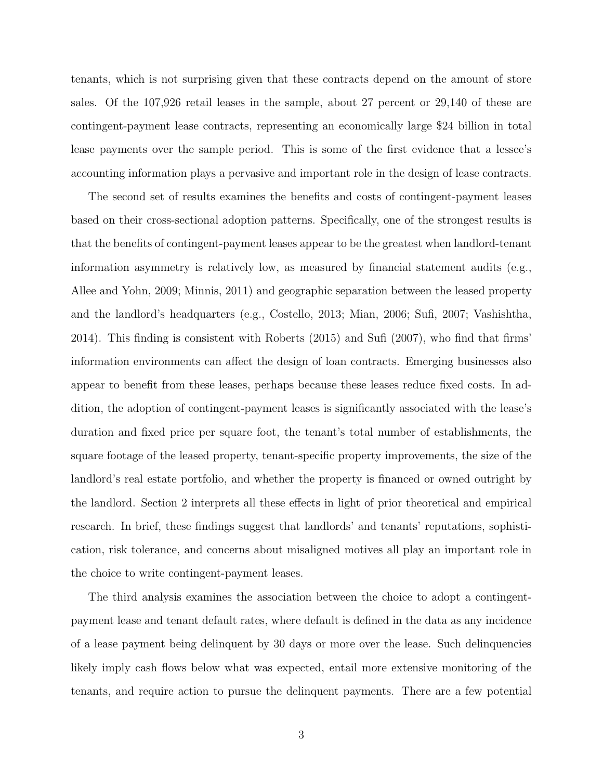tenants, which is not surprising given that these contracts depend on the amount of store sales. Of the 107,926 retail leases in the sample, about 27 percent or 29,140 of these are contingent-payment lease contracts, representing an economically large \$24 billion in total lease payments over the sample period. This is some of the first evidence that a lessee's accounting information plays a pervasive and important role in the design of lease contracts.

The second set of results examines the benefits and costs of contingent-payment leases based on their cross-sectional adoption patterns. Specifically, one of the strongest results is that the benefits of contingent-payment leases appear to be the greatest when landlord-tenant information asymmetry is relatively low, as measured by financial statement audits (e.g., [Allee and Yohn,](#page-30-2) [2009;](#page-30-2) [Minnis,](#page-37-0) [2011\)](#page-37-0) and geographic separation between the leased property and the landlord's headquarters (e.g., [Costello,](#page-32-2) [2013;](#page-32-2) [Mian,](#page-37-1) [2006;](#page-37-1) [Sufi,](#page-39-4) [2007;](#page-39-4) [Vashishtha,](#page-40-2) [2014\)](#page-40-2). This finding is consistent with [Roberts](#page-38-2) [\(2015\)](#page-38-2) and [Sufi](#page-39-4) [\(2007\)](#page-39-4), who find that firms' information environments can affect the design of loan contracts. Emerging businesses also appear to benefit from these leases, perhaps because these leases reduce fixed costs. In addition, the adoption of contingent-payment leases is significantly associated with the lease's duration and fixed price per square foot, the tenant's total number of establishments, the square footage of the leased property, tenant-specific property improvements, the size of the landlord's real estate portfolio, and whether the property is financed or owned outright by the landlord. Section [2](#page-7-0) interprets all these effects in light of prior theoretical and empirical research. In brief, these findings suggest that landlords' and tenants' reputations, sophistication, risk tolerance, and concerns about misaligned motives all play an important role in the choice to write contingent-payment leases.

The third analysis examines the association between the choice to adopt a contingentpayment lease and tenant default rates, where default is defined in the data as any incidence of a lease payment being delinquent by 30 days or more over the lease. Such delinquencies likely imply cash flows below what was expected, entail more extensive monitoring of the tenants, and require action to pursue the delinquent payments. There are a few potential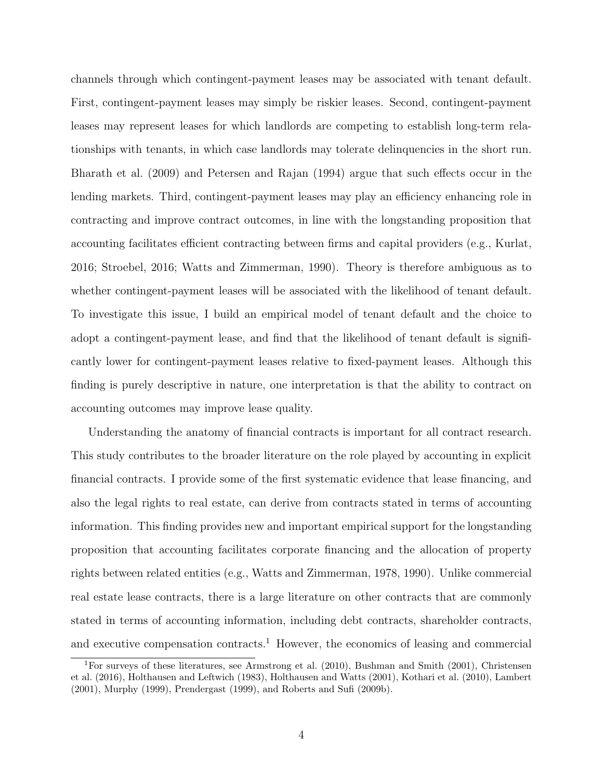channels through which contingent-payment leases may be associated with tenant default. First, contingent-payment leases may simply be riskier leases. Second, contingent-payment leases may represent leases for which landlords are competing to establish long-term relationships with tenants, in which case landlords may tolerate delinquencies in the short run. [Bharath et al.](#page-31-0) [\(2009\)](#page-31-0) and [Petersen and Rajan](#page-38-3) [\(1994\)](#page-38-3) argue that such effects occur in the lending markets. Third, contingent-payment leases may play an efficiency enhancing role in contracting and improve contract outcomes, in line with the longstanding proposition that accounting facilitates efficient contracting between firms and capital providers (e.g., [Kurlat,](#page-36-0) [2016;](#page-36-0) [Stroebel,](#page-39-5) [2016;](#page-39-5) [Watts and Zimmerman,](#page-40-0) [1990\)](#page-40-0). Theory is therefore ambiguous as to whether contingent-payment leases will be associated with the likelihood of tenant default. To investigate this issue, I build an empirical model of tenant default and the choice to adopt a contingent-payment lease, and find that the likelihood of tenant default is significantly lower for contingent-payment leases relative to fixed-payment leases. Although this finding is purely descriptive in nature, one interpretation is that the ability to contract on accounting outcomes may improve lease quality.

Understanding the anatomy of financial contracts is important for all contract research. This study contributes to the broader literature on the role played by accounting in explicit financial contracts. I provide some of the first systematic evidence that lease financing, and also the legal rights to real estate, can derive from contracts stated in terms of accounting information. This finding provides new and important empirical support for the longstanding proposition that accounting facilitates corporate financing and the allocation of property rights between related entities (e.g., [Watts and Zimmerman,](#page-40-3) [1978,](#page-40-3) [1990\)](#page-40-0). Unlike commercial real estate lease contracts, there is a large literature on other contracts that are commonly stated in terms of accounting information, including debt contracts, shareholder contracts, and executive compensation contracts.<sup>[1](#page-5-0)</sup> However, the economics of leasing and commercial

<span id="page-5-0"></span><sup>1</sup>For surveys of these literatures, see [Armstrong et al.](#page-30-3) [\(2010\)](#page-30-3), [Bushman and Smith](#page-32-3) [\(2001\)](#page-32-3), [Christensen](#page-32-4) [et al.](#page-32-4) [\(2016\)](#page-32-4), [Holthausen and Leftwich](#page-35-1) [\(1983\)](#page-35-1), [Holthausen and Watts](#page-35-2) [\(2001\)](#page-35-2), [Kothari et al.](#page-36-1) [\(2010\)](#page-36-1), [Lambert](#page-36-2) [\(2001\)](#page-36-2), [Murphy](#page-37-2) [\(1999\)](#page-37-2), [Prendergast](#page-38-4) [\(1999\)](#page-38-4), and [Roberts and Sufi](#page-38-5) [\(2009b\)](#page-38-5).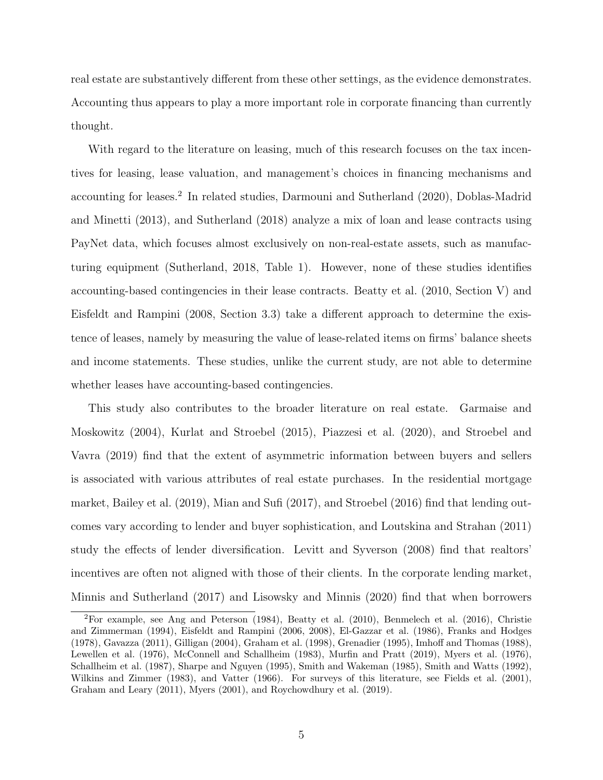real estate are substantively different from these other settings, as the evidence demonstrates. Accounting thus appears to play a more important role in corporate financing than currently thought.

With regard to the literature on leasing, much of this research focuses on the tax incentives for leasing, lease valuation, and management's choices in financing mechanisms and accounting for leases.<sup>[2](#page-6-0)</sup> In related studies, [Darmouni and Sutherland](#page-33-0) [\(2020\)](#page-33-0), [Doblas-Madrid](#page-33-1) [and Minetti](#page-33-1) [\(2013\)](#page-33-1), and [Sutherland](#page-40-1) [\(2018\)](#page-40-1) analyze a mix of loan and lease contracts using PayNet data, which focuses almost exclusively on non-real-estate assets, such as manufacturing equipment [\(Sutherland,](#page-40-1) [2018,](#page-40-1) Table 1). However, none of these studies identifies accounting-based contingencies in their lease contracts. [Beatty et al.](#page-31-1) [\(2010,](#page-31-1) Section V) and [Eisfeldt and Rampini](#page-34-0) [\(2008,](#page-34-0) Section 3.3) take a different approach to determine the existence of leases, namely by measuring the value of lease-related items on firms' balance sheets and income statements. These studies, unlike the current study, are not able to determine whether leases have accounting-based contingencies.

This study also contributes to the broader literature on real estate. [Garmaise and](#page-34-2) [Moskowitz](#page-34-2) [\(2004\)](#page-34-2), [Kurlat and Stroebel](#page-36-3) [\(2015\)](#page-36-3), [Piazzesi et al.](#page-38-6) [\(2020\)](#page-38-6), and [Stroebel and](#page-39-6) [Vavra](#page-39-6) [\(2019\)](#page-39-6) find that the extent of asymmetric information between buyers and sellers is associated with various attributes of real estate purchases. In the residential mortgage market, [Bailey et al.](#page-30-4) [\(2019\)](#page-30-4), [Mian and Sufi](#page-37-3) [\(2017\)](#page-37-3), and [Stroebel](#page-39-5) [\(2016\)](#page-39-5) find that lending outcomes vary according to lender and buyer sophistication, and [Loutskina and Strahan](#page-37-4) [\(2011\)](#page-37-4) study the effects of lender diversification. [Levitt and Syverson](#page-36-4) [\(2008\)](#page-36-4) find that realtors' incentives are often not aligned with those of their clients. In the corporate lending market, [Minnis and Sutherland](#page-37-5) [\(2017\)](#page-37-5) and [Lisowsky and Minnis](#page-36-5) [\(2020\)](#page-36-5) find that when borrowers

<span id="page-6-0"></span><sup>2</sup>For example, see [Ang and Peterson](#page-30-5) [\(1984\)](#page-30-5), [Beatty et al.](#page-31-1) [\(2010\)](#page-31-1), [Benmelech et al.](#page-31-2) [\(2016\)](#page-31-2), [Christie](#page-32-5) [and Zimmerman](#page-32-5) [\(1994\)](#page-32-5), [Eisfeldt and Rampini](#page-34-3) [\(2006,](#page-34-3) [2008\)](#page-34-0), [El-Gazzar et al.](#page-34-4) [\(1986\)](#page-34-4), [Franks and Hodges](#page-34-5) [\(1978\)](#page-34-5), [Gavazza](#page-34-6) [\(2011\)](#page-34-6), [Gilligan](#page-34-7) [\(2004\)](#page-34-7), [Graham et al.](#page-34-8) [\(1998\)](#page-34-8), [Grenadier](#page-34-9) [\(1995\)](#page-34-9), [Imhoff and Thomas](#page-35-3) [\(1988\)](#page-35-3), [Lewellen et al.](#page-36-6) [\(1976\)](#page-36-6), [McConnell and Schallheim](#page-37-6) [\(1983\)](#page-37-6), [Murfin and Pratt](#page-37-7) [\(2019\)](#page-37-7), [Myers et al.](#page-37-8) [\(1976\)](#page-37-8), [Schallheim et al.](#page-39-7) [\(1987\)](#page-39-7), [Sharpe and Nguyen](#page-39-8) [\(1995\)](#page-39-8), [Smith and Wakeman](#page-39-9) [\(1985\)](#page-39-9), [Smith and Watts](#page-39-10) [\(1992\)](#page-39-10), [Wilkins and Zimmer](#page-40-4) [\(1983\)](#page-40-4), and [Vatter](#page-40-5) [\(1966\)](#page-40-5). For surveys of this literature, see [Fields et al.](#page-34-10) [\(2001\)](#page-34-10), [Graham and Leary](#page-34-11) [\(2011\)](#page-34-11), [Myers](#page-37-9) [\(2001\)](#page-37-9), and [Roychowdhury et al.](#page-38-7) [\(2019\)](#page-38-7).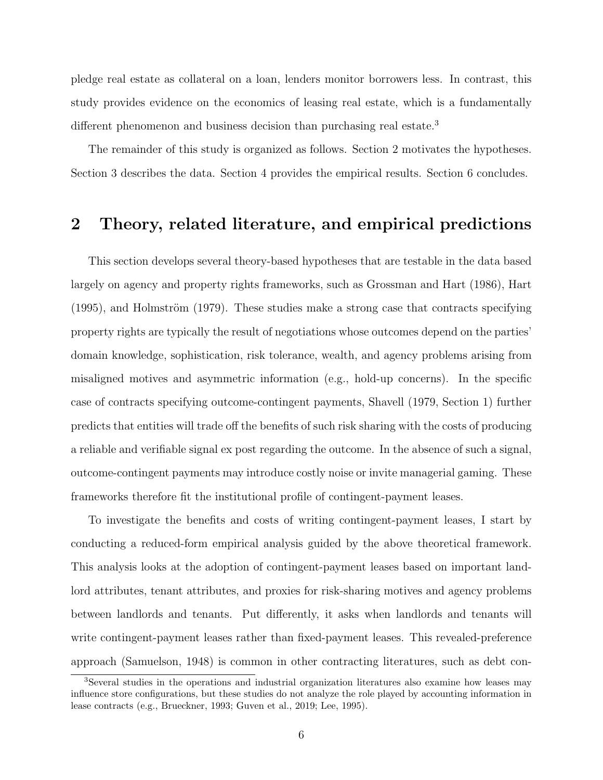pledge real estate as collateral on a loan, lenders monitor borrowers less. In contrast, this study provides evidence on the economics of leasing real estate, which is a fundamentally different phenomenon and business decision than purchasing real estate.<sup>[3](#page-7-1)</sup>

The remainder of this study is organized as follows. Section [2](#page-7-0) motivates the hypotheses. Section [3](#page-15-0) describes the data. Section [4](#page-17-0) provides the empirical results. Section [6](#page-28-0) concludes.

# <span id="page-7-0"></span>2 Theory, related literature, and empirical predictions

This section develops several theory-based hypotheses that are testable in the data based largely on agency and property rights frameworks, such as [Grossman and Hart](#page-35-0) [\(1986\)](#page-35-0), [Hart](#page-35-4)  $(1995)$ , and Holmström  $(1979)$ . These studies make a strong case that contracts specifying property rights are typically the result of negotiations whose outcomes depend on the parties' domain knowledge, sophistication, risk tolerance, wealth, and agency problems arising from misaligned motives and asymmetric information (e.g., hold-up concerns). In the specific case of contracts specifying outcome-contingent payments, [Shavell](#page-39-1) [\(1979,](#page-39-1) Section 1) further predicts that entities will trade off the benefits of such risk sharing with the costs of producing a reliable and verifiable signal ex post regarding the outcome. In the absence of such a signal, outcome-contingent payments may introduce costly noise or invite managerial gaming. These frameworks therefore fit the institutional profile of contingent-payment leases.

To investigate the benefits and costs of writing contingent-payment leases, I start by conducting a reduced-form empirical analysis guided by the above theoretical framework. This analysis looks at the adoption of contingent-payment leases based on important landlord attributes, tenant attributes, and proxies for risk-sharing motives and agency problems between landlords and tenants. Put differently, it asks when landlords and tenants will write contingent-payment leases rather than fixed-payment leases. This revealed-preference approach [\(Samuelson,](#page-39-2) [1948\)](#page-39-2) is common in other contracting literatures, such as debt con-

<span id="page-7-1"></span><sup>3</sup>Several studies in the operations and industrial organization literatures also examine how leases may influence store configurations, but these studies do not analyze the role played by accounting information in lease contracts (e.g., [Brueckner,](#page-32-6) [1993;](#page-32-6) [Guven et al.,](#page-35-6) [2019;](#page-35-6) [Lee,](#page-36-7) [1995\)](#page-36-7).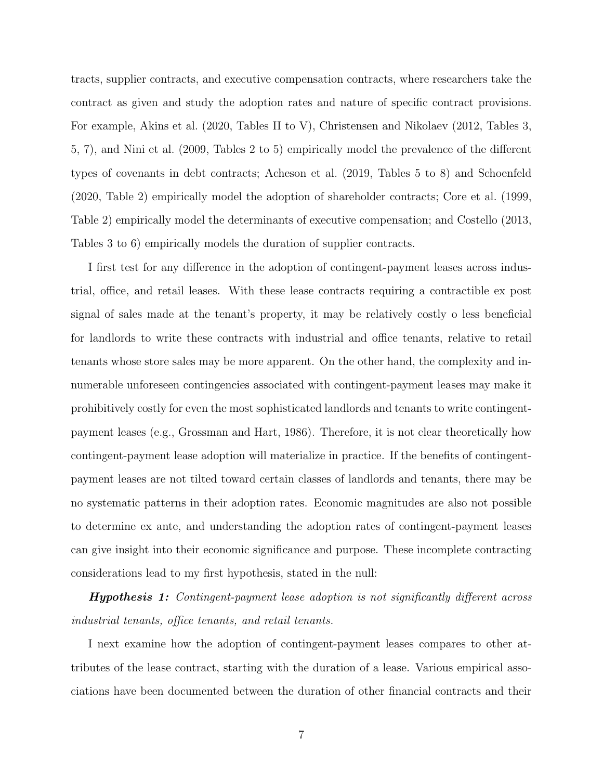tracts, supplier contracts, and executive compensation contracts, where researchers take the contract as given and study the adoption rates and nature of specific contract provisions. For example, [Akins et al.](#page-30-0) [\(2020,](#page-30-0) Tables II to V), [Christensen and Nikolaev](#page-32-0) [\(2012,](#page-32-0) Tables 3, 5, 7), and [Nini et al.](#page-38-1) [\(2009,](#page-38-1) Tables 2 to 5) empirically model the prevalence of the different types of covenants in debt contracts; [Acheson et al.](#page-30-1) [\(2019,](#page-30-1) Tables 5 to 8) and [Schoenfeld](#page-39-3) [\(2020,](#page-39-3) Table 2) empirically model the adoption of shareholder contracts; [Core et al.](#page-32-1) [\(1999,](#page-32-1) Table 2) empirically model the determinants of executive compensation; and [Costello](#page-32-2) [\(2013,](#page-32-2) Tables 3 to 6) empirically models the duration of supplier contracts.

I first test for any difference in the adoption of contingent-payment leases across industrial, office, and retail leases. With these lease contracts requiring a contractible ex post signal of sales made at the tenant's property, it may be relatively costly o less beneficial for landlords to write these contracts with industrial and office tenants, relative to retail tenants whose store sales may be more apparent. On the other hand, the complexity and innumerable unforeseen contingencies associated with contingent-payment leases may make it prohibitively costly for even the most sophisticated landlords and tenants to write contingentpayment leases (e.g., [Grossman and Hart,](#page-35-0) [1986\)](#page-35-0). Therefore, it is not clear theoretically how contingent-payment lease adoption will materialize in practice. If the benefits of contingentpayment leases are not tilted toward certain classes of landlords and tenants, there may be no systematic patterns in their adoption rates. Economic magnitudes are also not possible to determine ex ante, and understanding the adoption rates of contingent-payment leases can give insight into their economic significance and purpose. These incomplete contracting considerations lead to my first hypothesis, stated in the null:

**Hypothesis 1:** Contingent-payment lease adoption is not significantly different across industrial tenants, office tenants, and retail tenants.

I next examine how the adoption of contingent-payment leases compares to other attributes of the lease contract, starting with the duration of a lease. Various empirical associations have been documented between the duration of other financial contracts and their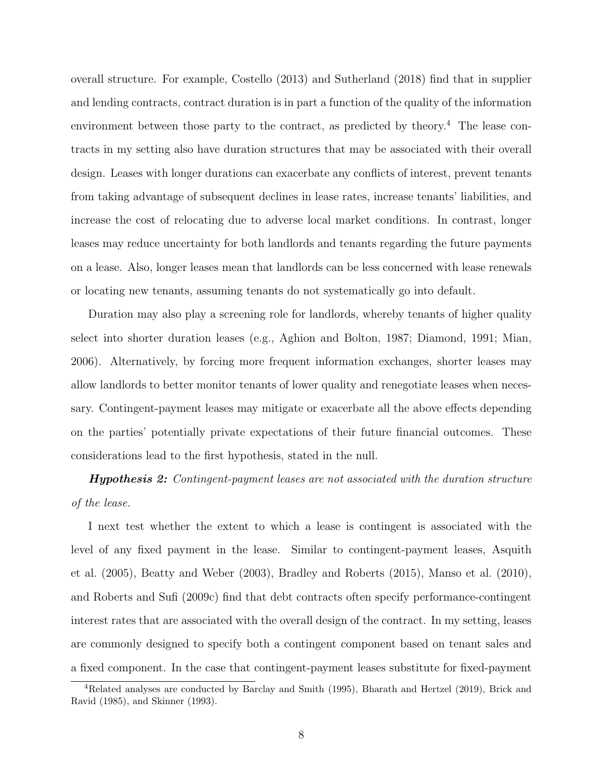overall structure. For example, [Costello](#page-32-2) [\(2013\)](#page-32-2) and [Sutherland](#page-40-1) [\(2018\)](#page-40-1) find that in supplier and lending contracts, contract duration is in part a function of the quality of the information environment between those party to the contract, as predicted by theory.<sup>[4](#page-9-0)</sup> The lease contracts in my setting also have duration structures that may be associated with their overall design. Leases with longer durations can exacerbate any conflicts of interest, prevent tenants from taking advantage of subsequent declines in lease rates, increase tenants' liabilities, and increase the cost of relocating due to adverse local market conditions. In contrast, longer leases may reduce uncertainty for both landlords and tenants regarding the future payments on a lease. Also, longer leases mean that landlords can be less concerned with lease renewals or locating new tenants, assuming tenants do not systematically go into default.

Duration may also play a screening role for landlords, whereby tenants of higher quality select into shorter duration leases (e.g., [Aghion and Bolton,](#page-30-6) [1987;](#page-30-6) [Diamond,](#page-33-2) [1991;](#page-33-2) [Mian,](#page-37-1) [2006\)](#page-37-1). Alternatively, by forcing more frequent information exchanges, shorter leases may allow landlords to better monitor tenants of lower quality and renegotiate leases when necessary. Contingent-payment leases may mitigate or exacerbate all the above effects depending on the parties' potentially private expectations of their future financial outcomes. These considerations lead to the first hypothesis, stated in the null.

**Hypothesis 2:** Contingent-payment leases are not associated with the duration structure of the lease.

I next test whether the extent to which a lease is contingent is associated with the level of any fixed payment in the lease. Similar to contingent-payment leases, [Asquith](#page-30-7) [et al.](#page-30-7) [\(2005\)](#page-30-7), [Beatty and Weber](#page-31-3) [\(2003\)](#page-31-3), [Bradley and Roberts](#page-32-7) [\(2015\)](#page-32-7), [Manso et al.](#page-37-10) [\(2010\)](#page-37-10), and [Roberts and Sufi](#page-38-8) [\(2009c\)](#page-38-8) find that debt contracts often specify performance-contingent interest rates that are associated with the overall design of the contract. In my setting, leases are commonly designed to specify both a contingent component based on tenant sales and a fixed component. In the case that contingent-payment leases substitute for fixed-payment

<span id="page-9-0"></span><sup>4</sup>Related analyses are conducted by [Barclay and Smith](#page-31-4) [\(1995\)](#page-31-4), [Bharath and Hertzel](#page-31-5) [\(2019\)](#page-31-5), [Brick and](#page-32-8) [Ravid](#page-32-8) [\(1985\)](#page-32-8), and [Skinner](#page-39-11) [\(1993\)](#page-39-11).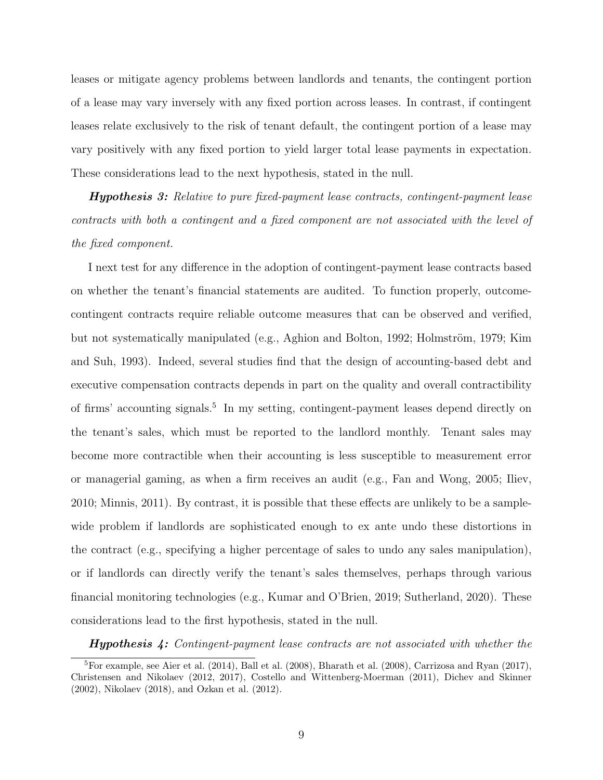leases or mitigate agency problems between landlords and tenants, the contingent portion of a lease may vary inversely with any fixed portion across leases. In contrast, if contingent leases relate exclusively to the risk of tenant default, the contingent portion of a lease may vary positively with any fixed portion to yield larger total lease payments in expectation. These considerations lead to the next hypothesis, stated in the null.

Hypothesis 3: Relative to pure fixed-payment lease contracts, contingent-payment lease contracts with both a contingent and a fixed component are not associated with the level of the fixed component.

I next test for any difference in the adoption of contingent-payment lease contracts based on whether the tenant's financial statements are audited. To function properly, outcomecontingent contracts require reliable outcome measures that can be observed and verified, but not systematically manipulated (e.g., [Aghion and Bolton,](#page-30-8) [1992;](#page-30-8) Holmström, [1979;](#page-35-5) [Kim](#page-36-8) [and Suh,](#page-36-8) [1993\)](#page-36-8). Indeed, several studies find that the design of accounting-based debt and executive compensation contracts depends in part on the quality and overall contractibility of firms' accounting signals.[5](#page-10-0) In my setting, contingent-payment leases depend directly on the tenant's sales, which must be reported to the landlord monthly. Tenant sales may become more contractible when their accounting is less susceptible to measurement error or managerial gaming, as when a firm receives an audit (e.g., [Fan and Wong,](#page-34-12) [2005;](#page-34-12) [Iliev,](#page-35-7) [2010;](#page-35-7) [Minnis,](#page-37-0) [2011\)](#page-37-0). By contrast, it is possible that these effects are unlikely to be a samplewide problem if landlords are sophisticated enough to ex ante undo these distortions in the contract (e.g., specifying a higher percentage of sales to undo any sales manipulation), or if landlords can directly verify the tenant's sales themselves, perhaps through various financial monitoring technologies (e.g., [Kumar and O'Brien,](#page-36-9) [2019;](#page-36-9) [Sutherland,](#page-40-6) [2020\)](#page-40-6). These considerations lead to the first hypothesis, stated in the null.

<span id="page-10-0"></span>**Hypothesis 4:** Contingent-payment lease contracts are not associated with whether the

<sup>5</sup>For example, see [Aier et al.](#page-30-9) [\(2014\)](#page-30-9), [Ball et al.](#page-31-6) [\(2008\)](#page-31-6), [Bharath et al.](#page-31-7) [\(2008\)](#page-31-7), [Carrizosa and Ryan](#page-32-9) [\(2017\)](#page-32-9), [Christensen and Nikolaev](#page-32-0) [\(2012,](#page-32-0) [2017\)](#page-32-10), [Costello and Wittenberg-Moerman](#page-33-3) [\(2011\)](#page-33-3), [Dichev and Skinner](#page-33-4) [\(2002\)](#page-33-4), [Nikolaev](#page-37-11) [\(2018\)](#page-37-11), and [Ozkan et al.](#page-38-9) [\(2012\)](#page-38-9).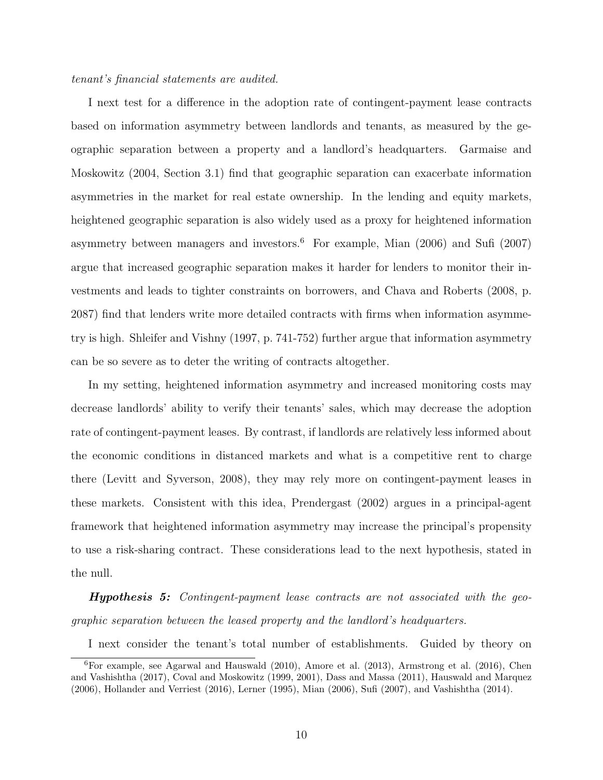#### tenant's financial statements are audited.

I next test for a difference in the adoption rate of contingent-payment lease contracts based on information asymmetry between landlords and tenants, as measured by the geographic separation between a property and a landlord's headquarters. [Garmaise and](#page-34-2) [Moskowitz](#page-34-2) [\(2004,](#page-34-2) Section 3.1) find that geographic separation can exacerbate information asymmetries in the market for real estate ownership. In the lending and equity markets, heightened geographic separation is also widely used as a proxy for heightened information asymmetry between managers and investors.<sup>[6](#page-11-0)</sup> For example, [Mian](#page-37-1)  $(2006)$  and [Sufi](#page-39-4)  $(2007)$ argue that increased geographic separation makes it harder for lenders to monitor their investments and leads to tighter constraints on borrowers, and [Chava and Roberts](#page-32-11) [\(2008,](#page-32-11) p. 2087) find that lenders write more detailed contracts with firms when information asymmetry is high. [Shleifer and Vishny](#page-39-12) [\(1997,](#page-39-12) p. 741-752) further argue that information asymmetry can be so severe as to deter the writing of contracts altogether.

In my setting, heightened information asymmetry and increased monitoring costs may decrease landlords' ability to verify their tenants' sales, which may decrease the adoption rate of contingent-payment leases. By contrast, if landlords are relatively less informed about the economic conditions in distanced markets and what is a competitive rent to charge there [\(Levitt and Syverson,](#page-36-4) [2008\)](#page-36-4), they may rely more on contingent-payment leases in these markets. Consistent with this idea, [Prendergast](#page-38-10) [\(2002\)](#page-38-10) argues in a principal-agent framework that heightened information asymmetry may increase the principal's propensity to use a risk-sharing contract. These considerations lead to the next hypothesis, stated in the null.

Hypothesis 5: Contingent-payment lease contracts are not associated with the geographic separation between the leased property and the landlord's headquarters.

<span id="page-11-0"></span>I next consider the tenant's total number of establishments. Guided by theory on

<sup>6</sup>For example, see [Agarwal and Hauswald](#page-30-10) [\(2010\)](#page-30-10), [Amore et al.](#page-30-11) [\(2013\)](#page-30-11), [Armstrong et al.](#page-30-12) [\(2016\)](#page-30-12), [Chen](#page-32-12) [and Vashishtha](#page-32-12) [\(2017\)](#page-32-12), [Coval and Moskowitz](#page-33-5) [\(1999,](#page-33-5) [2001\)](#page-33-6), [Dass and Massa](#page-33-7) [\(2011\)](#page-33-7), [Hauswald and Marquez](#page-35-8) [\(2006\)](#page-35-8), [Hollander and Verriest](#page-35-9) [\(2016\)](#page-35-9), [Lerner](#page-36-10) [\(1995\)](#page-36-10), [Mian](#page-37-1) [\(2006\)](#page-37-1), [Sufi](#page-39-4) [\(2007\)](#page-39-4), and [Vashishtha](#page-40-2) [\(2014\)](#page-40-2).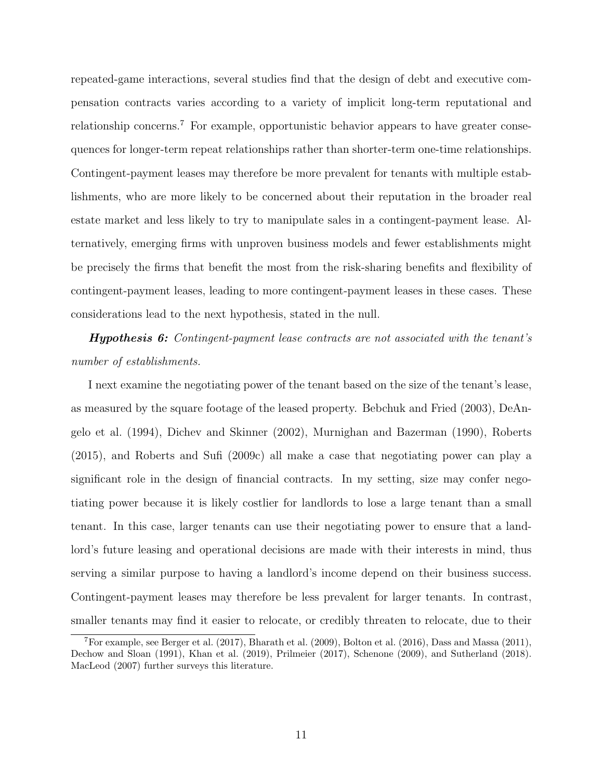repeated-game interactions, several studies find that the design of debt and executive compensation contracts varies according to a variety of implicit long-term reputational and relationship concerns.[7](#page-12-0) For example, opportunistic behavior appears to have greater consequences for longer-term repeat relationships rather than shorter-term one-time relationships. Contingent-payment leases may therefore be more prevalent for tenants with multiple establishments, who are more likely to be concerned about their reputation in the broader real estate market and less likely to try to manipulate sales in a contingent-payment lease. Alternatively, emerging firms with unproven business models and fewer establishments might be precisely the firms that benefit the most from the risk-sharing benefits and flexibility of contingent-payment leases, leading to more contingent-payment leases in these cases. These considerations lead to the next hypothesis, stated in the null.

**Hypothesis 6:** Contingent-payment lease contracts are not associated with the tenant's number of establishments.

I next examine the negotiating power of the tenant based on the size of the tenant's lease, as measured by the square footage of the leased property. [Bebchuk and Fried](#page-31-8) [\(2003\)](#page-31-8), [DeAn](#page-33-8)[gelo et al.](#page-33-8) [\(1994\)](#page-33-8), [Dichev and Skinner](#page-33-4) [\(2002\)](#page-33-4), [Murnighan and Bazerman](#page-37-12) [\(1990\)](#page-37-12), [Roberts](#page-38-2) [\(2015\)](#page-38-2), and [Roberts and Sufi](#page-38-8) [\(2009c\)](#page-38-8) all make a case that negotiating power can play a significant role in the design of financial contracts. In my setting, size may confer negotiating power because it is likely costlier for landlords to lose a large tenant than a small tenant. In this case, larger tenants can use their negotiating power to ensure that a landlord's future leasing and operational decisions are made with their interests in mind, thus serving a similar purpose to having a landlord's income depend on their business success. Contingent-payment leases may therefore be less prevalent for larger tenants. In contrast, smaller tenants may find it easier to relocate, or credibly threaten to relocate, due to their

<span id="page-12-0"></span><sup>&</sup>lt;sup>7</sup>For example, see [Berger et al.](#page-31-9)  $(2017)$ , [Bharath et al.](#page-31-0)  $(2009)$ , [Bolton et al.](#page-31-10)  $(2016)$ , [Dass and Massa](#page-33-7)  $(2011)$ , [Dechow and Sloan](#page-33-9) [\(1991\)](#page-33-9), [Khan et al.](#page-36-11) [\(2019\)](#page-36-11), [Prilmeier](#page-38-11) [\(2017\)](#page-38-11), [Schenone](#page-39-13) [\(2009\)](#page-39-13), and [Sutherland](#page-40-1) [\(2018\)](#page-40-1). [MacLeod](#page-37-13) [\(2007\)](#page-37-13) further surveys this literature.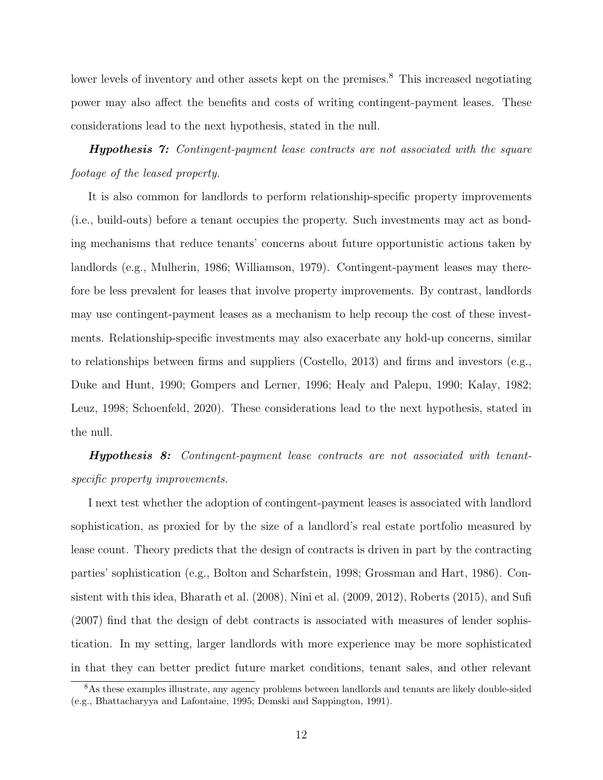lower levels of inventory and other assets kept on the premises.<sup>[8](#page-13-0)</sup> This increased negotiating power may also affect the benefits and costs of writing contingent-payment leases. These considerations lead to the next hypothesis, stated in the null.

**Hypothesis 7:** Contingent-payment lease contracts are not associated with the square footage of the leased property.

It is also common for landlords to perform relationship-specific property improvements (i.e., build-outs) before a tenant occupies the property. Such investments may act as bonding mechanisms that reduce tenants' concerns about future opportunistic actions taken by landlords (e.g., [Mulherin,](#page-37-14) [1986;](#page-37-14) [Williamson,](#page-40-7) [1979\)](#page-40-7). Contingent-payment leases may therefore be less prevalent for leases that involve property improvements. By contrast, landlords may use contingent-payment leases as a mechanism to help recoup the cost of these investments. Relationship-specific investments may also exacerbate any hold-up concerns, similar to relationships between firms and suppliers [\(Costello,](#page-32-2) [2013\)](#page-32-2) and firms and investors (e.g., [Duke and Hunt,](#page-33-10) [1990;](#page-33-10) [Gompers and Lerner,](#page-34-13) [1996;](#page-34-13) [Healy and Palepu,](#page-35-10) [1990;](#page-35-10) [Kalay,](#page-35-11) [1982;](#page-35-11) [Leuz,](#page-36-12) [1998;](#page-36-12) [Schoenfeld,](#page-39-3) [2020\)](#page-39-3). These considerations lead to the next hypothesis, stated in the null.

Hypothesis 8: Contingent-payment lease contracts are not associated with tenantspecific property improvements.

I next test whether the adoption of contingent-payment leases is associated with landlord sophistication, as proxied for by the size of a landlord's real estate portfolio measured by lease count. Theory predicts that the design of contracts is driven in part by the contracting parties' sophistication (e.g., [Bolton and Scharfstein,](#page-32-13) [1998;](#page-32-13) [Grossman and Hart,](#page-35-0) [1986\)](#page-35-0). Consistent with this idea, [Bharath et al.](#page-31-7) [\(2008\)](#page-31-7), [Nini et al.](#page-38-1) [\(2009,](#page-38-1) [2012\)](#page-38-12), [Roberts](#page-38-2) [\(2015\)](#page-38-2), and [Sufi](#page-39-4) [\(2007\)](#page-39-4) find that the design of debt contracts is associated with measures of lender sophistication. In my setting, larger landlords with more experience may be more sophisticated in that they can better predict future market conditions, tenant sales, and other relevant

<span id="page-13-0"></span><sup>8</sup>As these examples illustrate, any agency problems between landlords and tenants are likely double-sided (e.g., [Bhattacharyya and Lafontaine,](#page-31-11) [1995;](#page-31-11) [Demski and Sappington,](#page-33-11) [1991\)](#page-33-11).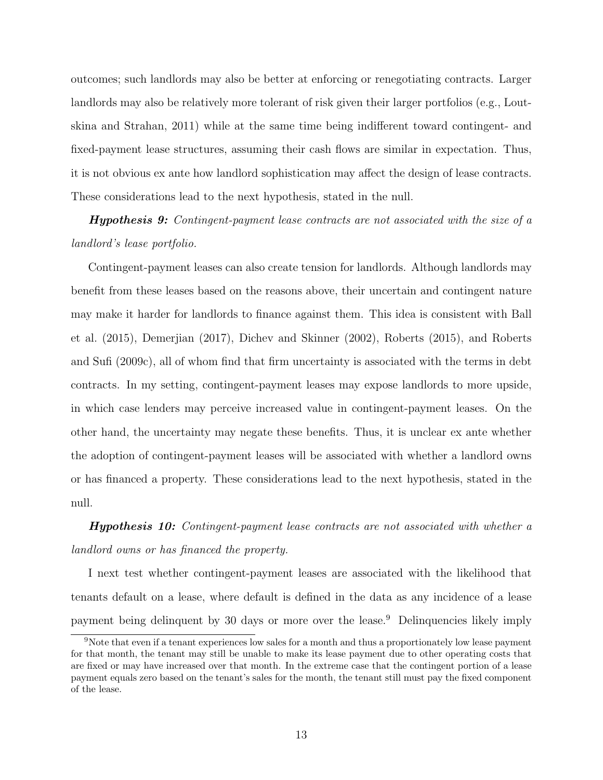outcomes; such landlords may also be better at enforcing or renegotiating contracts. Larger landlords may also be relatively more tolerant of risk given their larger portfolios (e.g., [Lout](#page-37-4)[skina and Strahan,](#page-37-4) [2011\)](#page-37-4) while at the same time being indifferent toward contingent- and fixed-payment lease structures, assuming their cash flows are similar in expectation. Thus, it is not obvious ex ante how landlord sophistication may affect the design of lease contracts. These considerations lead to the next hypothesis, stated in the null.

Hypothesis 9: Contingent-payment lease contracts are not associated with the size of a landlord's lease portfolio.

Contingent-payment leases can also create tension for landlords. Although landlords may benefit from these leases based on the reasons above, their uncertain and contingent nature may make it harder for landlords to finance against them. This idea is consistent with [Ball](#page-31-12) [et al.](#page-31-12) [\(2015\)](#page-31-12), [Demerjian](#page-33-12) [\(2017\)](#page-33-12), [Dichev and Skinner](#page-33-4) [\(2002\)](#page-33-4), [Roberts](#page-38-2) [\(2015\)](#page-38-2), and [Roberts](#page-38-8) [and Sufi](#page-38-8) [\(2009c\)](#page-38-8), all of whom find that firm uncertainty is associated with the terms in debt contracts. In my setting, contingent-payment leases may expose landlords to more upside, in which case lenders may perceive increased value in contingent-payment leases. On the other hand, the uncertainty may negate these benefits. Thus, it is unclear ex ante whether the adoption of contingent-payment leases will be associated with whether a landlord owns or has financed a property. These considerations lead to the next hypothesis, stated in the null.

**Hypothesis 10:** Contingent-payment lease contracts are not associated with whether a landlord owns or has financed the property.

I next test whether contingent-payment leases are associated with the likelihood that tenants default on a lease, where default is defined in the data as any incidence of a lease payment being delinquent by 30 days or more over the lease.[9](#page-14-0) Delinquencies likely imply

<span id="page-14-0"></span><sup>9</sup>Note that even if a tenant experiences low sales for a month and thus a proportionately low lease payment for that month, the tenant may still be unable to make its lease payment due to other operating costs that are fixed or may have increased over that month. In the extreme case that the contingent portion of a lease payment equals zero based on the tenant's sales for the month, the tenant still must pay the fixed component of the lease.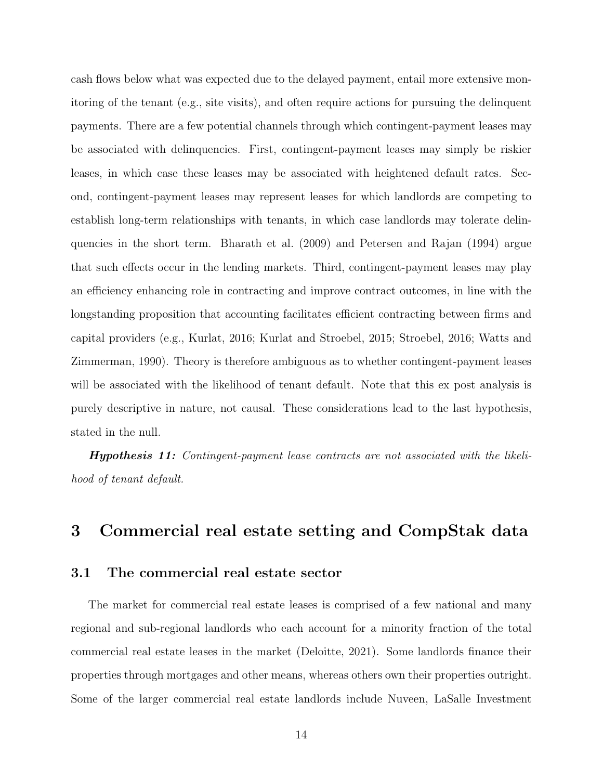cash flows below what was expected due to the delayed payment, entail more extensive monitoring of the tenant (e.g., site visits), and often require actions for pursuing the delinquent payments. There are a few potential channels through which contingent-payment leases may be associated with delinquencies. First, contingent-payment leases may simply be riskier leases, in which case these leases may be associated with heightened default rates. Second, contingent-payment leases may represent leases for which landlords are competing to establish long-term relationships with tenants, in which case landlords may tolerate delinquencies in the short term. [Bharath et al.](#page-31-0) [\(2009\)](#page-31-0) and [Petersen and Rajan](#page-38-3) [\(1994\)](#page-38-3) argue that such effects occur in the lending markets. Third, contingent-payment leases may play an efficiency enhancing role in contracting and improve contract outcomes, in line with the longstanding proposition that accounting facilitates efficient contracting between firms and capital providers (e.g., [Kurlat,](#page-36-0) [2016;](#page-36-0) [Kurlat and Stroebel,](#page-36-3) [2015;](#page-36-3) [Stroebel,](#page-39-5) [2016;](#page-39-5) [Watts and](#page-40-0) [Zimmerman,](#page-40-0) [1990\)](#page-40-0). Theory is therefore ambiguous as to whether contingent-payment leases will be associated with the likelihood of tenant default. Note that this ex post analysis is purely descriptive in nature, not causal. These considerations lead to the last hypothesis, stated in the null.

Hypothesis 11: Contingent-payment lease contracts are not associated with the likelihood of tenant default.

### <span id="page-15-0"></span>3 Commercial real estate setting and CompStak data

#### 3.1 The commercial real estate sector

The market for commercial real estate leases is comprised of a few national and many regional and sub-regional landlords who each account for a minority fraction of the total commercial real estate leases in the market [\(Deloitte,](#page-33-13) [2021\)](#page-33-13). Some landlords finance their properties through mortgages and other means, whereas others own their properties outright. Some of the larger commercial real estate landlords include Nuveen, LaSalle Investment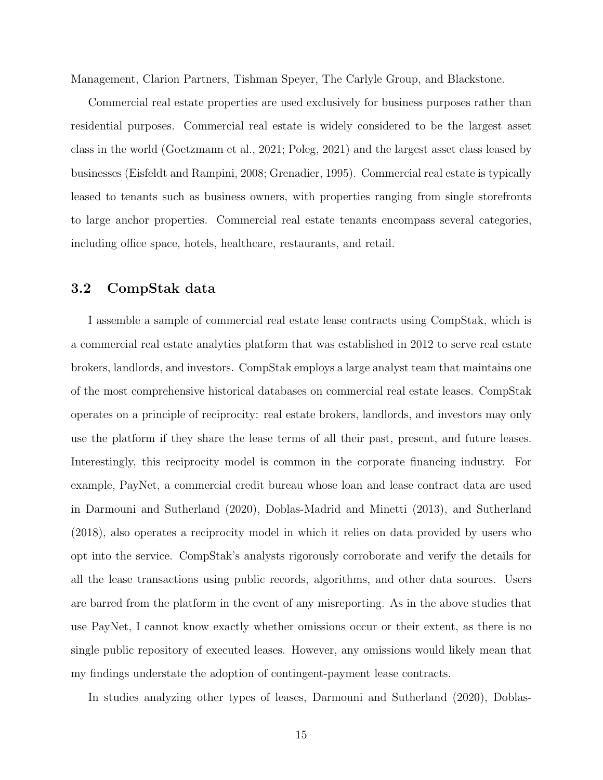Management, Clarion Partners, Tishman Speyer, The Carlyle Group, and Blackstone.

Commercial real estate properties are used exclusively for business purposes rather than residential purposes. Commercial real estate is widely considered to be the largest asset class in the world [\(Goetzmann et al.,](#page-34-1) [2021;](#page-34-1) [Poleg,](#page-38-0) [2021\)](#page-38-0) and the largest asset class leased by businesses [\(Eisfeldt and Rampini,](#page-34-0) [2008;](#page-34-0) [Grenadier,](#page-34-9) [1995\)](#page-34-9). Commercial real estate is typically leased to tenants such as business owners, with properties ranging from single storefronts to large anchor properties. Commercial real estate tenants encompass several categories, including office space, hotels, healthcare, restaurants, and retail.

#### 3.2 CompStak data

I assemble a sample of commercial real estate lease contracts using CompStak, which is a commercial real estate analytics platform that was established in 2012 to serve real estate brokers, landlords, and investors. CompStak employs a large analyst team that maintains one of the most comprehensive historical databases on commercial real estate leases. CompStak operates on a principle of reciprocity: real estate brokers, landlords, and investors may only use the platform if they share the lease terms of all their past, present, and future leases. Interestingly, this reciprocity model is common in the corporate financing industry. For example, PayNet, a commercial credit bureau whose loan and lease contract data are used in [Darmouni and Sutherland](#page-33-0) [\(2020\)](#page-33-0), [Doblas-Madrid and Minetti](#page-33-1) [\(2013\)](#page-33-1), and [Sutherland](#page-40-1) [\(2018\)](#page-40-1), also operates a reciprocity model in which it relies on data provided by users who opt into the service. CompStak's analysts rigorously corroborate and verify the details for all the lease transactions using public records, algorithms, and other data sources. Users are barred from the platform in the event of any misreporting. As in the above studies that use PayNet, I cannot know exactly whether omissions occur or their extent, as there is no single public repository of executed leases. However, any omissions would likely mean that my findings understate the adoption of contingent-payment lease contracts.

In studies analyzing other types of leases, [Darmouni and Sutherland](#page-33-0) [\(2020\)](#page-33-0), [Doblas-](#page-33-1)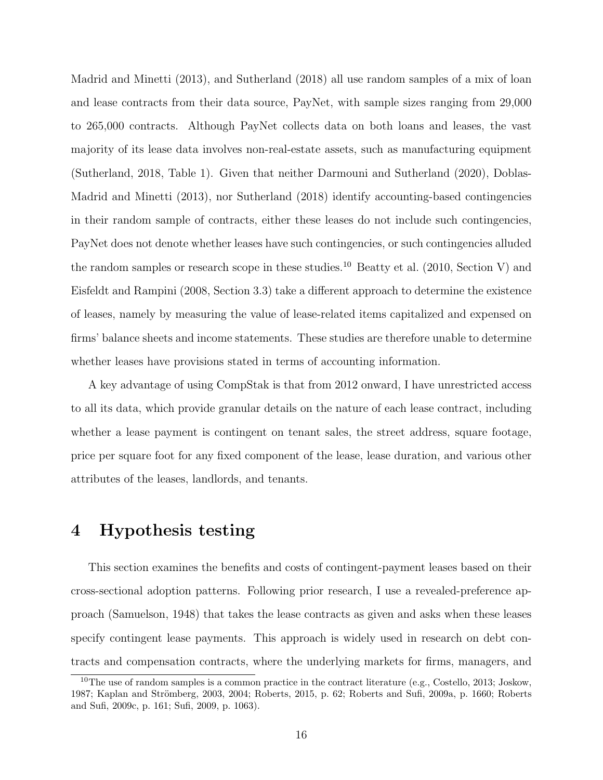[Madrid and Minetti](#page-33-1) [\(2013\)](#page-33-1), and [Sutherland](#page-40-1) [\(2018\)](#page-40-1) all use random samples of a mix of loan and lease contracts from their data source, PayNet, with sample sizes ranging from 29,000 to 265,000 contracts. Although PayNet collects data on both loans and leases, the vast majority of its lease data involves non-real-estate assets, such as manufacturing equipment [\(Sutherland,](#page-40-1) [2018,](#page-40-1) Table 1). Given that neither [Darmouni and Sutherland](#page-33-0) [\(2020\)](#page-33-0), [Doblas-](#page-33-1)[Madrid and Minetti](#page-33-1) [\(2013\)](#page-33-1), nor [Sutherland](#page-40-1) [\(2018\)](#page-40-1) identify accounting-based contingencies in their random sample of contracts, either these leases do not include such contingencies, PayNet does not denote whether leases have such contingencies, or such contingencies alluded the random samples or research scope in these studies.<sup>[10](#page-17-1)</sup> [Beatty et al.](#page-31-1) [\(2010,](#page-31-1) Section V) and [Eisfeldt and Rampini](#page-34-0) [\(2008,](#page-34-0) Section 3.3) take a different approach to determine the existence of leases, namely by measuring the value of lease-related items capitalized and expensed on firms' balance sheets and income statements. These studies are therefore unable to determine whether leases have provisions stated in terms of accounting information.

A key advantage of using CompStak is that from 2012 onward, I have unrestricted access to all its data, which provide granular details on the nature of each lease contract, including whether a lease payment is contingent on tenant sales, the street address, square footage, price per square foot for any fixed component of the lease, lease duration, and various other attributes of the leases, landlords, and tenants.

# <span id="page-17-0"></span>4 Hypothesis testing

This section examines the benefits and costs of contingent-payment leases based on their cross-sectional adoption patterns. Following prior research, I use a revealed-preference approach [\(Samuelson,](#page-39-2) [1948\)](#page-39-2) that takes the lease contracts as given and asks when these leases specify contingent lease payments. This approach is widely used in research on debt contracts and compensation contracts, where the underlying markets for firms, managers, and

<span id="page-17-1"></span><sup>&</sup>lt;sup>10</sup>The use of random samples is a common practice in the contract literature (e.g., [Costello,](#page-32-2) [2013;](#page-32-2) [Joskow,](#page-35-12) [1987;](#page-35-12) Kaplan and Strömberg, [2003,](#page-35-13) [2004;](#page-36-13) [Roberts,](#page-38-2) [2015,](#page-38-2) p. 62; [Roberts and Sufi,](#page-38-13) [2009a,](#page-38-13) p. 1660; [Roberts](#page-38-8) [and Sufi,](#page-38-8) [2009c,](#page-38-8) p. 161; [Sufi,](#page-40-8) [2009,](#page-40-8) p. 1063).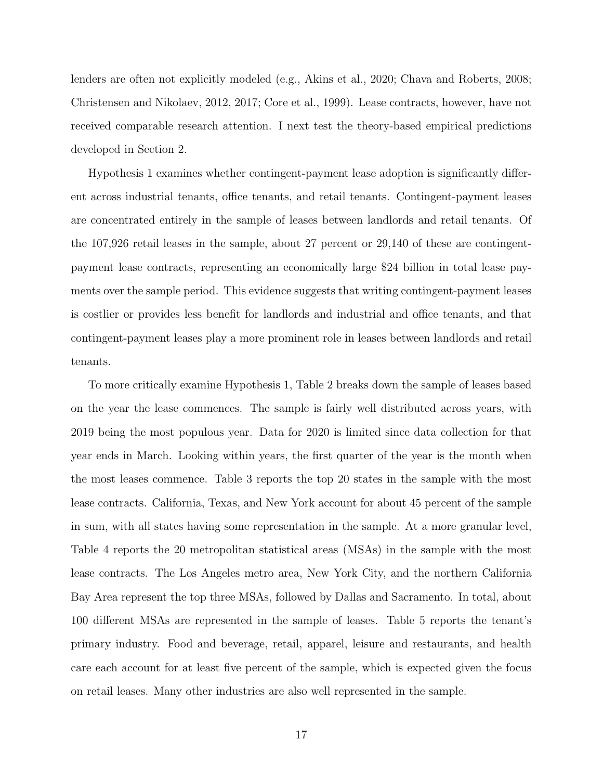lenders are often not explicitly modeled (e.g., [Akins et al.,](#page-30-0) [2020;](#page-30-0) [Chava and Roberts,](#page-32-11) [2008;](#page-32-11) [Christensen and Nikolaev,](#page-32-0) [2012,](#page-32-0) [2017;](#page-32-10) [Core et al.,](#page-32-1) [1999\)](#page-32-1). Lease contracts, however, have not received comparable research attention. I next test the theory-based empirical predictions developed in Section [2.](#page-7-0)

Hypothesis 1 examines whether contingent-payment lease adoption is significantly different across industrial tenants, office tenants, and retail tenants. Contingent-payment leases are concentrated entirely in the sample of leases between landlords and retail tenants. Of the 107,926 retail leases in the sample, about 27 percent or 29,140 of these are contingentpayment lease contracts, representing an economically large \$24 billion in total lease payments over the sample period. This evidence suggests that writing contingent-payment leases is costlier or provides less benefit for landlords and industrial and office tenants, and that contingent-payment leases play a more prominent role in leases between landlords and retail tenants.

To more critically examine Hypothesis 1, Table 2 breaks down the sample of leases based on the year the lease commences. The sample is fairly well distributed across years, with 2019 being the most populous year. Data for 2020 is limited since data collection for that year ends in March. Looking within years, the first quarter of the year is the month when the most leases commence. Table 3 reports the top 20 states in the sample with the most lease contracts. California, Texas, and New York account for about 45 percent of the sample in sum, with all states having some representation in the sample. At a more granular level, Table 4 reports the 20 metropolitan statistical areas (MSAs) in the sample with the most lease contracts. The Los Angeles metro area, New York City, and the northern California Bay Area represent the top three MSAs, followed by Dallas and Sacramento. In total, about 100 different MSAs are represented in the sample of leases. Table 5 reports the tenant's primary industry. Food and beverage, retail, apparel, leisure and restaurants, and health care each account for at least five percent of the sample, which is expected given the focus on retail leases. Many other industries are also well represented in the sample.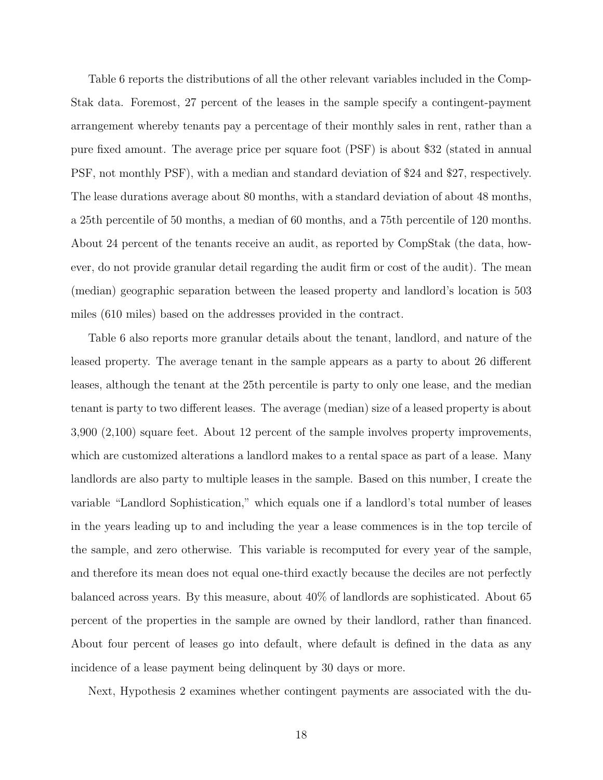Table 6 reports the distributions of all the other relevant variables included in the Comp-Stak data. Foremost, 27 percent of the leases in the sample specify a contingent-payment arrangement whereby tenants pay a percentage of their monthly sales in rent, rather than a pure fixed amount. The average price per square foot (PSF) is about \$32 (stated in annual PSF, not monthly PSF), with a median and standard deviation of \$24 and \$27, respectively. The lease durations average about 80 months, with a standard deviation of about 48 months, a 25th percentile of 50 months, a median of 60 months, and a 75th percentile of 120 months. About 24 percent of the tenants receive an audit, as reported by CompStak (the data, however, do not provide granular detail regarding the audit firm or cost of the audit). The mean (median) geographic separation between the leased property and landlord's location is 503 miles (610 miles) based on the addresses provided in the contract.

Table 6 also reports more granular details about the tenant, landlord, and nature of the leased property. The average tenant in the sample appears as a party to about 26 different leases, although the tenant at the 25th percentile is party to only one lease, and the median tenant is party to two different leases. The average (median) size of a leased property is about 3,900 (2,100) square feet. About 12 percent of the sample involves property improvements, which are customized alterations a landlord makes to a rental space as part of a lease. Many landlords are also party to multiple leases in the sample. Based on this number, I create the variable "Landlord Sophistication," which equals one if a landlord's total number of leases in the years leading up to and including the year a lease commences is in the top tercile of the sample, and zero otherwise. This variable is recomputed for every year of the sample, and therefore its mean does not equal one-third exactly because the deciles are not perfectly balanced across years. By this measure, about 40% of landlords are sophisticated. About 65 percent of the properties in the sample are owned by their landlord, rather than financed. About four percent of leases go into default, where default is defined in the data as any incidence of a lease payment being delinquent by 30 days or more.

Next, Hypothesis 2 examines whether contingent payments are associated with the du-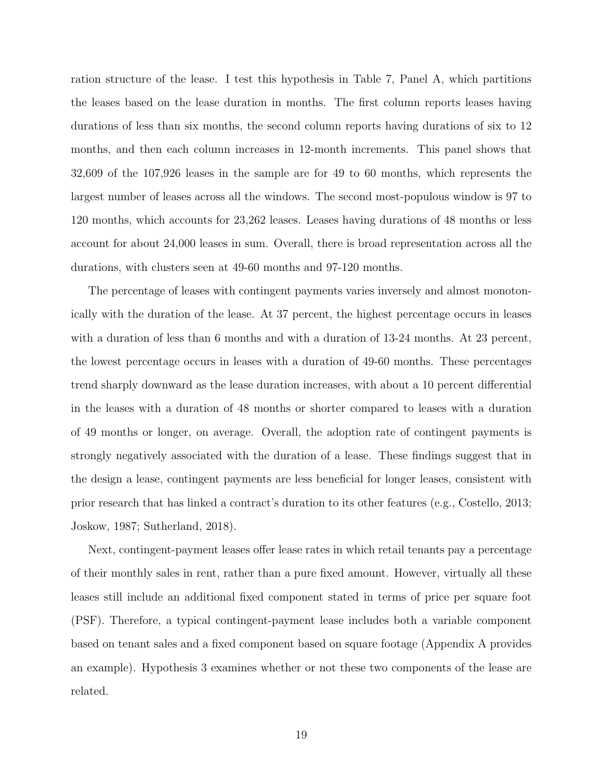ration structure of the lease. I test this hypothesis in Table 7, Panel A, which partitions the leases based on the lease duration in months. The first column reports leases having durations of less than six months, the second column reports having durations of six to 12 months, and then each column increases in 12-month increments. This panel shows that 32,609 of the 107,926 leases in the sample are for 49 to 60 months, which represents the largest number of leases across all the windows. The second most-populous window is 97 to 120 months, which accounts for 23,262 leases. Leases having durations of 48 months or less account for about 24,000 leases in sum. Overall, there is broad representation across all the durations, with clusters seen at 49-60 months and 97-120 months.

The percentage of leases with contingent payments varies inversely and almost monotonically with the duration of the lease. At 37 percent, the highest percentage occurs in leases with a duration of less than 6 months and with a duration of 13-24 months. At 23 percent, the lowest percentage occurs in leases with a duration of 49-60 months. These percentages trend sharply downward as the lease duration increases, with about a 10 percent differential in the leases with a duration of 48 months or shorter compared to leases with a duration of 49 months or longer, on average. Overall, the adoption rate of contingent payments is strongly negatively associated with the duration of a lease. These findings suggest that in the design a lease, contingent payments are less beneficial for longer leases, consistent with prior research that has linked a contract's duration to its other features (e.g., [Costello,](#page-32-2) [2013;](#page-32-2) [Joskow,](#page-35-12) [1987;](#page-35-12) [Sutherland,](#page-40-1) [2018\)](#page-40-1).

Next, contingent-payment leases offer lease rates in which retail tenants pay a percentage of their monthly sales in rent, rather than a pure fixed amount. However, virtually all these leases still include an additional fixed component stated in terms of price per square foot (PSF). Therefore, a typical contingent-payment lease includes both a variable component based on tenant sales and a fixed component based on square footage (Appendix A provides an example). Hypothesis 3 examines whether or not these two components of the lease are related.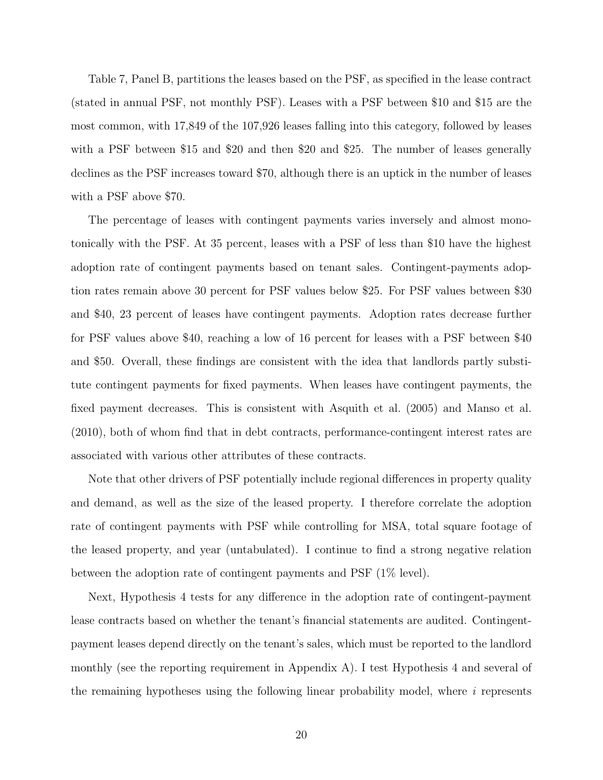Table 7, Panel B, partitions the leases based on the PSF, as specified in the lease contract (stated in annual PSF, not monthly PSF). Leases with a PSF between \$10 and \$15 are the most common, with 17,849 of the 107,926 leases falling into this category, followed by leases with a PSF between \$15 and \$20 and then \$20 and \$25. The number of leases generally declines as the PSF increases toward \$70, although there is an uptick in the number of leases with a PSF above \$70.

The percentage of leases with contingent payments varies inversely and almost monotonically with the PSF. At 35 percent, leases with a PSF of less than \$10 have the highest adoption rate of contingent payments based on tenant sales. Contingent-payments adoption rates remain above 30 percent for PSF values below \$25. For PSF values between \$30 and \$40, 23 percent of leases have contingent payments. Adoption rates decrease further for PSF values above \$40, reaching a low of 16 percent for leases with a PSF between \$40 and \$50. Overall, these findings are consistent with the idea that landlords partly substitute contingent payments for fixed payments. When leases have contingent payments, the fixed payment decreases. This is consistent with [Asquith et al.](#page-30-7) [\(2005\)](#page-30-7) and [Manso et al.](#page-37-10) [\(2010\)](#page-37-10), both of whom find that in debt contracts, performance-contingent interest rates are associated with various other attributes of these contracts.

Note that other drivers of PSF potentially include regional differences in property quality and demand, as well as the size of the leased property. I therefore correlate the adoption rate of contingent payments with PSF while controlling for MSA, total square footage of the leased property, and year (untabulated). I continue to find a strong negative relation between the adoption rate of contingent payments and PSF (1% level).

Next, Hypothesis 4 tests for any difference in the adoption rate of contingent-payment lease contracts based on whether the tenant's financial statements are audited. Contingentpayment leases depend directly on the tenant's sales, which must be reported to the landlord monthly (see the reporting requirement in Appendix A). I test Hypothesis 4 and several of the remaining hypotheses using the following linear probability model, where  $i$  represents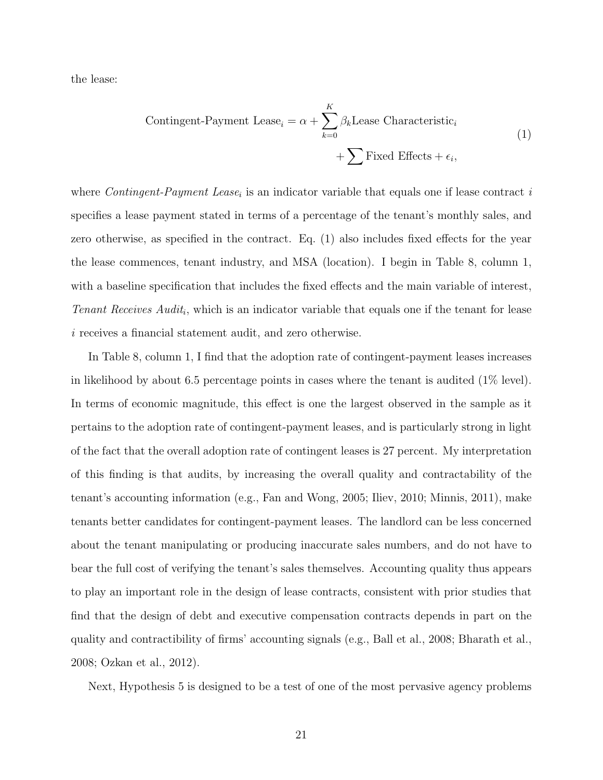<span id="page-22-0"></span>the lease:

Contingent-Payment Lease<sub>i</sub> = 
$$
\alpha + \sum_{k=0}^{K} \beta_k
$$
Lease Characteristic<sub>i</sub>  
+  $\sum$  Fixed Effects +  $\epsilon_i$ , (1)

where *Contingent-Payment Lease<sub>i</sub>* is an indicator variable that equals one if lease contract is specifies a lease payment stated in terms of a percentage of the tenant's monthly sales, and zero otherwise, as specified in the contract. Eq. [\(1\)](#page-22-0) also includes fixed effects for the year the lease commences, tenant industry, and MSA (location). I begin in Table 8, column 1, with a baseline specification that includes the fixed effects and the main variable of interest, Tenant Receives  $\text{Audit}_i$ , which is an indicator variable that equals one if the tenant for lease i receives a financial statement audit, and zero otherwise.

In Table 8, column 1, I find that the adoption rate of contingent-payment leases increases in likelihood by about 6.5 percentage points in cases where the tenant is audited (1% level). In terms of economic magnitude, this effect is one the largest observed in the sample as it pertains to the adoption rate of contingent-payment leases, and is particularly strong in light of the fact that the overall adoption rate of contingent leases is 27 percent. My interpretation of this finding is that audits, by increasing the overall quality and contractability of the tenant's accounting information (e.g., [Fan and Wong,](#page-34-12) [2005;](#page-34-12) [Iliev,](#page-35-7) [2010;](#page-35-7) [Minnis,](#page-37-0) [2011\)](#page-37-0), make tenants better candidates for contingent-payment leases. The landlord can be less concerned about the tenant manipulating or producing inaccurate sales numbers, and do not have to bear the full cost of verifying the tenant's sales themselves. Accounting quality thus appears to play an important role in the design of lease contracts, consistent with prior studies that find that the design of debt and executive compensation contracts depends in part on the quality and contractibility of firms' accounting signals (e.g., [Ball et al.,](#page-31-6) [2008;](#page-31-6) [Bharath et al.,](#page-31-7) [2008;](#page-31-7) [Ozkan et al.,](#page-38-9) [2012\)](#page-38-9).

Next, Hypothesis 5 is designed to be a test of one of the most pervasive agency problems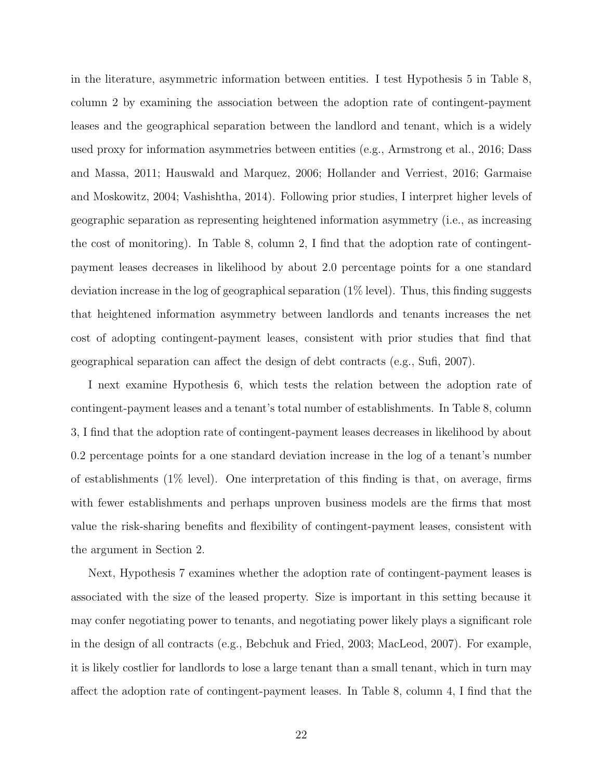in the literature, asymmetric information between entities. I test Hypothesis 5 in Table 8, column 2 by examining the association between the adoption rate of contingent-payment leases and the geographical separation between the landlord and tenant, which is a widely used proxy for information asymmetries between entities (e.g., [Armstrong et al.,](#page-30-12) [2016;](#page-30-12) [Dass](#page-33-7) [and Massa,](#page-33-7) [2011;](#page-33-7) [Hauswald and Marquez,](#page-35-8) [2006;](#page-35-8) [Hollander and Verriest,](#page-35-9) [2016;](#page-35-9) [Garmaise](#page-34-2) [and Moskowitz,](#page-34-2) [2004;](#page-34-2) [Vashishtha,](#page-40-2) [2014\)](#page-40-2). Following prior studies, I interpret higher levels of geographic separation as representing heightened information asymmetry (i.e., as increasing the cost of monitoring). In Table 8, column 2, I find that the adoption rate of contingentpayment leases decreases in likelihood by about 2.0 percentage points for a one standard deviation increase in the log of geographical separation  $(1\%$  level). Thus, this finding suggests that heightened information asymmetry between landlords and tenants increases the net cost of adopting contingent-payment leases, consistent with prior studies that find that geographical separation can affect the design of debt contracts (e.g., [Sufi,](#page-39-4) [2007\)](#page-39-4).

I next examine Hypothesis 6, which tests the relation between the adoption rate of contingent-payment leases and a tenant's total number of establishments. In Table 8, column 3, I find that the adoption rate of contingent-payment leases decreases in likelihood by about 0.2 percentage points for a one standard deviation increase in the log of a tenant's number of establishments (1% level). One interpretation of this finding is that, on average, firms with fewer establishments and perhaps unproven business models are the firms that most value the risk-sharing benefits and flexibility of contingent-payment leases, consistent with the argument in Section [2.](#page-7-0)

Next, Hypothesis 7 examines whether the adoption rate of contingent-payment leases is associated with the size of the leased property. Size is important in this setting because it may confer negotiating power to tenants, and negotiating power likely plays a significant role in the design of all contracts (e.g., [Bebchuk and Fried,](#page-31-8) [2003;](#page-31-8) [MacLeod,](#page-37-13) [2007\)](#page-37-13). For example, it is likely costlier for landlords to lose a large tenant than a small tenant, which in turn may affect the adoption rate of contingent-payment leases. In Table 8, column 4, I find that the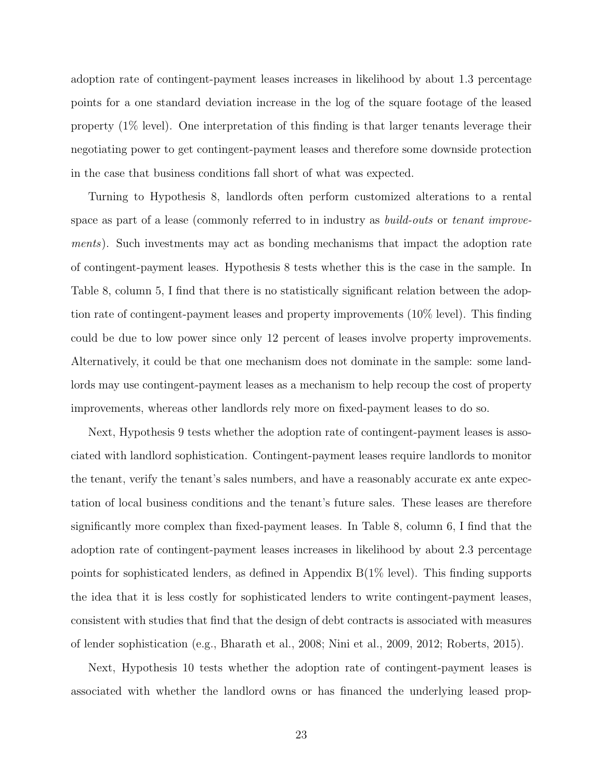adoption rate of contingent-payment leases increases in likelihood by about 1.3 percentage points for a one standard deviation increase in the log of the square footage of the leased property (1% level). One interpretation of this finding is that larger tenants leverage their negotiating power to get contingent-payment leases and therefore some downside protection in the case that business conditions fall short of what was expected.

Turning to Hypothesis 8, landlords often perform customized alterations to a rental space as part of a lease (commonly referred to in industry as *build-outs* or *tenant improve*ments). Such investments may act as bonding mechanisms that impact the adoption rate of contingent-payment leases. Hypothesis 8 tests whether this is the case in the sample. In Table 8, column 5, I find that there is no statistically significant relation between the adoption rate of contingent-payment leases and property improvements (10% level). This finding could be due to low power since only 12 percent of leases involve property improvements. Alternatively, it could be that one mechanism does not dominate in the sample: some landlords may use contingent-payment leases as a mechanism to help recoup the cost of property improvements, whereas other landlords rely more on fixed-payment leases to do so.

Next, Hypothesis 9 tests whether the adoption rate of contingent-payment leases is associated with landlord sophistication. Contingent-payment leases require landlords to monitor the tenant, verify the tenant's sales numbers, and have a reasonably accurate ex ante expectation of local business conditions and the tenant's future sales. These leases are therefore significantly more complex than fixed-payment leases. In Table 8, column 6, I find that the adoption rate of contingent-payment leases increases in likelihood by about 2.3 percentage points for sophisticated lenders, as defined in Appendix B(1% level). This finding supports the idea that it is less costly for sophisticated lenders to write contingent-payment leases, consistent with studies that find that the design of debt contracts is associated with measures of lender sophistication (e.g., [Bharath et al.,](#page-31-7) [2008;](#page-31-7) [Nini et al.,](#page-38-1) [2009,](#page-38-1) [2012;](#page-38-12) [Roberts,](#page-38-2) [2015\)](#page-38-2).

Next, Hypothesis 10 tests whether the adoption rate of contingent-payment leases is associated with whether the landlord owns or has financed the underlying leased prop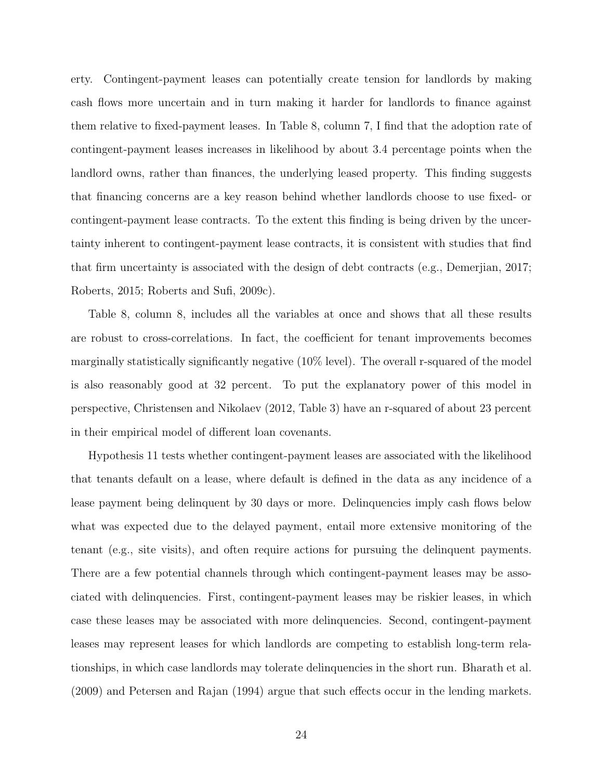erty. Contingent-payment leases can potentially create tension for landlords by making cash flows more uncertain and in turn making it harder for landlords to finance against them relative to fixed-payment leases. In Table 8, column 7, I find that the adoption rate of contingent-payment leases increases in likelihood by about 3.4 percentage points when the landlord owns, rather than finances, the underlying leased property. This finding suggests that financing concerns are a key reason behind whether landlords choose to use fixed- or contingent-payment lease contracts. To the extent this finding is being driven by the uncertainty inherent to contingent-payment lease contracts, it is consistent with studies that find that firm uncertainty is associated with the design of debt contracts (e.g., [Demerjian,](#page-33-12) [2017;](#page-33-12) [Roberts,](#page-38-2) [2015;](#page-38-2) [Roberts and Sufi,](#page-38-8) [2009c\)](#page-38-8).

Table 8, column 8, includes all the variables at once and shows that all these results are robust to cross-correlations. In fact, the coefficient for tenant improvements becomes marginally statistically significantly negative (10% level). The overall r-squared of the model is also reasonably good at 32 percent. To put the explanatory power of this model in perspective, [Christensen and Nikolaev](#page-32-0) [\(2012,](#page-32-0) Table 3) have an r-squared of about 23 percent in their empirical model of different loan covenants.

Hypothesis 11 tests whether contingent-payment leases are associated with the likelihood that tenants default on a lease, where default is defined in the data as any incidence of a lease payment being delinquent by 30 days or more. Delinquencies imply cash flows below what was expected due to the delayed payment, entail more extensive monitoring of the tenant (e.g., site visits), and often require actions for pursuing the delinquent payments. There are a few potential channels through which contingent-payment leases may be associated with delinquencies. First, contingent-payment leases may be riskier leases, in which case these leases may be associated with more delinquencies. Second, contingent-payment leases may represent leases for which landlords are competing to establish long-term relationships, in which case landlords may tolerate delinquencies in the short run. [Bharath et al.](#page-31-0) [\(2009\)](#page-31-0) and [Petersen and Rajan](#page-38-3) [\(1994\)](#page-38-3) argue that such effects occur in the lending markets.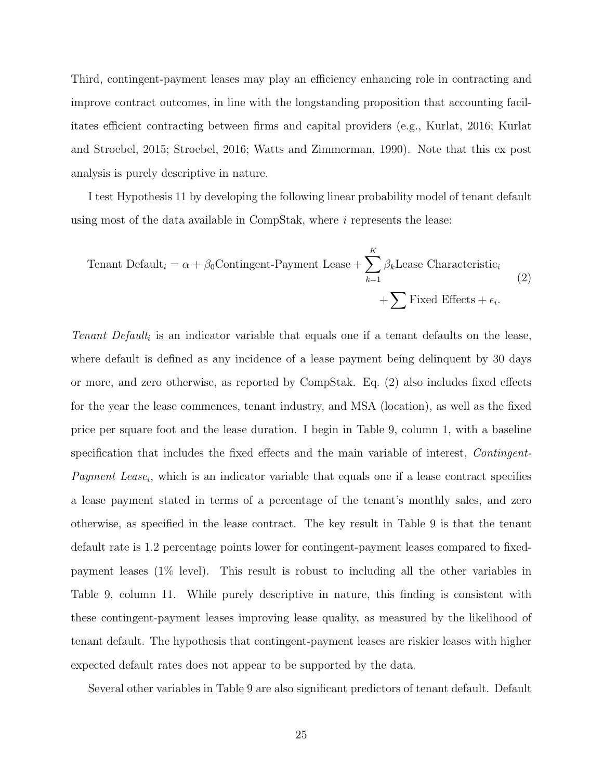Third, contingent-payment leases may play an efficiency enhancing role in contracting and improve contract outcomes, in line with the longstanding proposition that accounting facilitates efficient contracting between firms and capital providers (e.g., [Kurlat,](#page-36-0) [2016;](#page-36-0) [Kurlat](#page-36-3) [and Stroebel,](#page-36-3) [2015;](#page-36-3) [Stroebel,](#page-39-5) [2016;](#page-39-5) [Watts and Zimmerman,](#page-40-0) [1990\)](#page-40-0). Note that this ex post analysis is purely descriptive in nature.

I test Hypothesis 11 by developing the following linear probability model of tenant default using most of the data available in CompStak, where  $i$  represents the lease:

<span id="page-26-0"></span>Tenant Default<sub>i</sub> = 
$$
\alpha + \beta_0
$$
Contingent-Payment Lease +  $\sum_{k=1}^{K} \beta_k$ Lease Characteristic<sub>i</sub>  
+  $\sum$  Fixed Effects +  $\epsilon_i$ . (2)

Tenant Default<sub>i</sub> is an indicator variable that equals one if a tenant defaults on the lease, where default is defined as any incidence of a lease payment being delinquent by 30 days or more, and zero otherwise, as reported by CompStak. Eq. [\(2\)](#page-26-0) also includes fixed effects for the year the lease commences, tenant industry, and MSA (location), as well as the fixed price per square foot and the lease duration. I begin in Table 9, column 1, with a baseline specification that includes the fixed effects and the main variable of interest, Contingent-Payment Lease<sub>i</sub>, which is an indicator variable that equals one if a lease contract specifies a lease payment stated in terms of a percentage of the tenant's monthly sales, and zero otherwise, as specified in the lease contract. The key result in Table 9 is that the tenant default rate is 1.2 percentage points lower for contingent-payment leases compared to fixedpayment leases (1% level). This result is robust to including all the other variables in Table 9, column 11. While purely descriptive in nature, this finding is consistent with these contingent-payment leases improving lease quality, as measured by the likelihood of tenant default. The hypothesis that contingent-payment leases are riskier leases with higher expected default rates does not appear to be supported by the data.

Several other variables in Table 9 are also significant predictors of tenant default. Default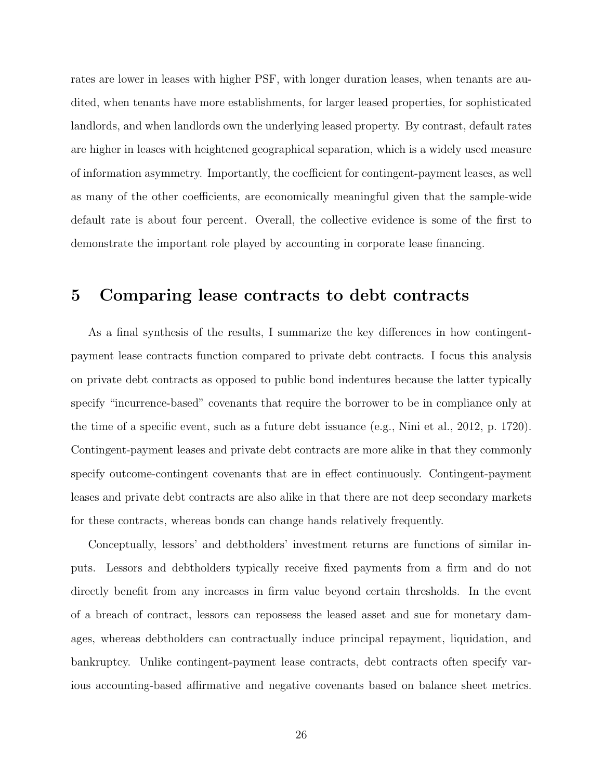rates are lower in leases with higher PSF, with longer duration leases, when tenants are audited, when tenants have more establishments, for larger leased properties, for sophisticated landlords, and when landlords own the underlying leased property. By contrast, default rates are higher in leases with heightened geographical separation, which is a widely used measure of information asymmetry. Importantly, the coefficient for contingent-payment leases, as well as many of the other coefficients, are economically meaningful given that the sample-wide default rate is about four percent. Overall, the collective evidence is some of the first to demonstrate the important role played by accounting in corporate lease financing.

## 5 Comparing lease contracts to debt contracts

As a final synthesis of the results, I summarize the key differences in how contingentpayment lease contracts function compared to private debt contracts. I focus this analysis on private debt contracts as opposed to public bond indentures because the latter typically specify "incurrence-based" covenants that require the borrower to be in compliance only at the time of a specific event, such as a future debt issuance (e.g., [Nini et al.,](#page-38-12) [2012,](#page-38-12) p. 1720). Contingent-payment leases and private debt contracts are more alike in that they commonly specify outcome-contingent covenants that are in effect continuously. Contingent-payment leases and private debt contracts are also alike in that there are not deep secondary markets for these contracts, whereas bonds can change hands relatively frequently.

Conceptually, lessors' and debtholders' investment returns are functions of similar inputs. Lessors and debtholders typically receive fixed payments from a firm and do not directly benefit from any increases in firm value beyond certain thresholds. In the event of a breach of contract, lessors can repossess the leased asset and sue for monetary damages, whereas debtholders can contractually induce principal repayment, liquidation, and bankruptcy. Unlike contingent-payment lease contracts, debt contracts often specify various accounting-based affirmative and negative covenants based on balance sheet metrics.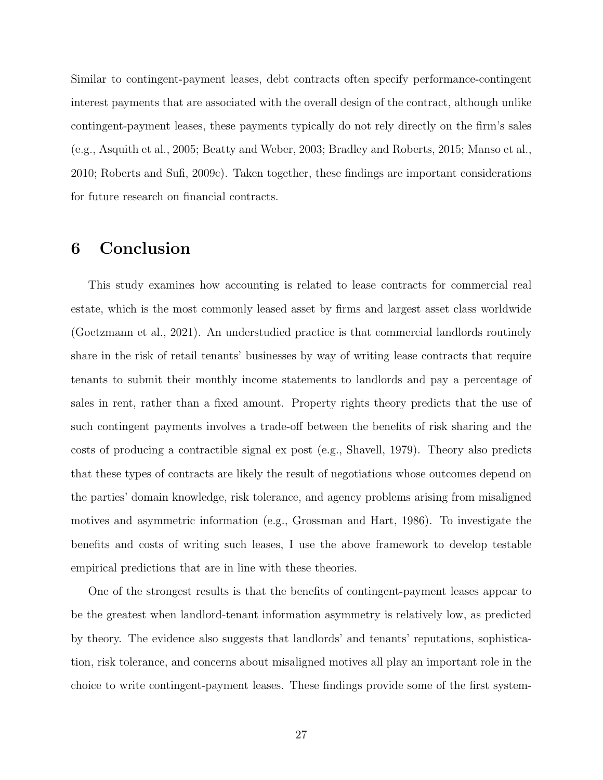Similar to contingent-payment leases, debt contracts often specify performance-contingent interest payments that are associated with the overall design of the contract, although unlike contingent-payment leases, these payments typically do not rely directly on the firm's sales (e.g., [Asquith et al.,](#page-30-7) [2005;](#page-30-7) [Beatty and Weber,](#page-31-3) [2003;](#page-31-3) [Bradley and Roberts,](#page-32-7) [2015;](#page-32-7) [Manso et al.,](#page-37-10) [2010;](#page-37-10) [Roberts and Sufi,](#page-38-8) [2009c\)](#page-38-8). Taken together, these findings are important considerations for future research on financial contracts.

## <span id="page-28-0"></span>6 Conclusion

This study examines how accounting is related to lease contracts for commercial real estate, which is the most commonly leased asset by firms and largest asset class worldwide [\(Goetzmann et al.,](#page-34-1) [2021\)](#page-34-1). An understudied practice is that commercial landlords routinely share in the risk of retail tenants' businesses by way of writing lease contracts that require tenants to submit their monthly income statements to landlords and pay a percentage of sales in rent, rather than a fixed amount. Property rights theory predicts that the use of such contingent payments involves a trade-off between the benefits of risk sharing and the costs of producing a contractible signal ex post (e.g., [Shavell,](#page-39-1) [1979\)](#page-39-1). Theory also predicts that these types of contracts are likely the result of negotiations whose outcomes depend on the parties' domain knowledge, risk tolerance, and agency problems arising from misaligned motives and asymmetric information (e.g., [Grossman and Hart,](#page-35-0) [1986\)](#page-35-0). To investigate the benefits and costs of writing such leases, I use the above framework to develop testable empirical predictions that are in line with these theories.

One of the strongest results is that the benefits of contingent-payment leases appear to be the greatest when landlord-tenant information asymmetry is relatively low, as predicted by theory. The evidence also suggests that landlords' and tenants' reputations, sophistication, risk tolerance, and concerns about misaligned motives all play an important role in the choice to write contingent-payment leases. These findings provide some of the first system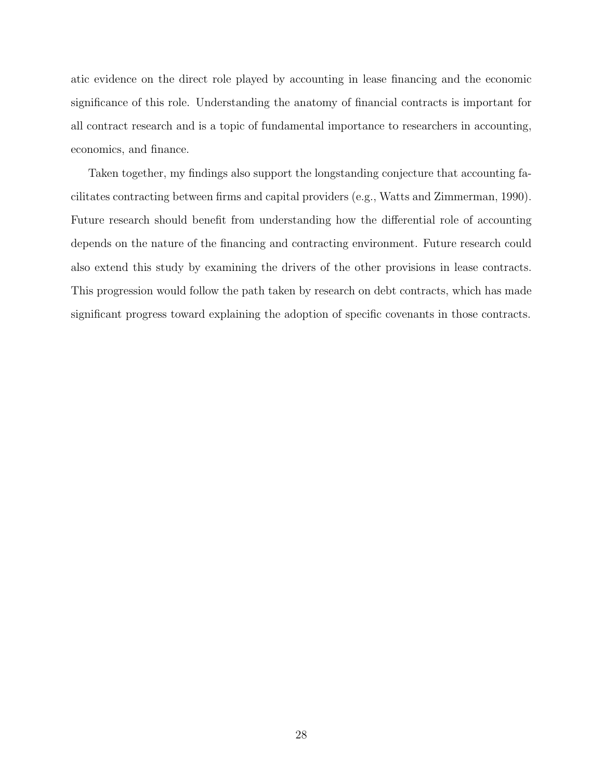atic evidence on the direct role played by accounting in lease financing and the economic significance of this role. Understanding the anatomy of financial contracts is important for all contract research and is a topic of fundamental importance to researchers in accounting, economics, and finance.

Taken together, my findings also support the longstanding conjecture that accounting facilitates contracting between firms and capital providers (e.g., [Watts and Zimmerman,](#page-40-0) [1990\)](#page-40-0). Future research should benefit from understanding how the differential role of accounting depends on the nature of the financing and contracting environment. Future research could also extend this study by examining the drivers of the other provisions in lease contracts. This progression would follow the path taken by research on debt contracts, which has made significant progress toward explaining the adoption of specific covenants in those contracts.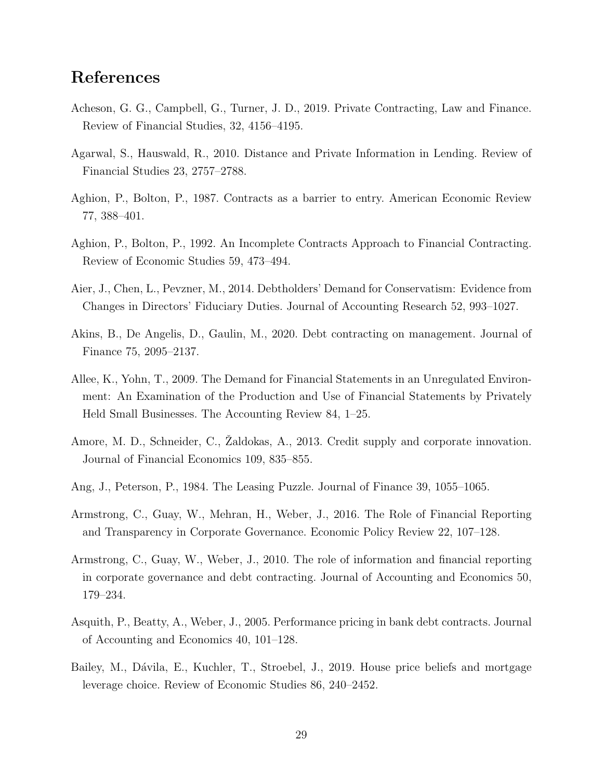# References

- <span id="page-30-1"></span>Acheson, G. G., Campbell, G., Turner, J. D., 2019. Private Contracting, Law and Finance. Review of Financial Studies, 32, 4156–4195.
- <span id="page-30-10"></span>Agarwal, S., Hauswald, R., 2010. Distance and Private Information in Lending. Review of Financial Studies 23, 2757–2788.
- <span id="page-30-6"></span>Aghion, P., Bolton, P., 1987. Contracts as a barrier to entry. American Economic Review 77, 388–401.
- <span id="page-30-8"></span>Aghion, P., Bolton, P., 1992. An Incomplete Contracts Approach to Financial Contracting. Review of Economic Studies 59, 473–494.
- <span id="page-30-9"></span>Aier, J., Chen, L., Pevzner, M., 2014. Debtholders' Demand for Conservatism: Evidence from Changes in Directors' Fiduciary Duties. Journal of Accounting Research 52, 993–1027.
- <span id="page-30-0"></span>Akins, B., De Angelis, D., Gaulin, M., 2020. Debt contracting on management. Journal of Finance 75, 2095–2137.
- <span id="page-30-2"></span>Allee, K., Yohn, T., 2009. The Demand for Financial Statements in an Unregulated Environment: An Examination of the Production and Use of Financial Statements by Privately Held Small Businesses. The Accounting Review 84, 1–25.
- <span id="page-30-11"></span>Amore, M. D., Schneider, C., Zaldokas, A., 2013. Credit supply and corporate innovation. Journal of Financial Economics 109, 835–855.
- <span id="page-30-5"></span>Ang, J., Peterson, P., 1984. The Leasing Puzzle. Journal of Finance 39, 1055–1065.
- <span id="page-30-12"></span>Armstrong, C., Guay, W., Mehran, H., Weber, J., 2016. The Role of Financial Reporting and Transparency in Corporate Governance. Economic Policy Review 22, 107–128.
- <span id="page-30-3"></span>Armstrong, C., Guay, W., Weber, J., 2010. The role of information and financial reporting in corporate governance and debt contracting. Journal of Accounting and Economics 50, 179–234.
- <span id="page-30-7"></span>Asquith, P., Beatty, A., Weber, J., 2005. Performance pricing in bank debt contracts. Journal of Accounting and Economics 40, 101–128.
- <span id="page-30-4"></span>Bailey, M., Dávila, E., Kuchler, T., Stroebel, J., 2019. House price beliefs and mortgage leverage choice. Review of Economic Studies 86, 240–2452.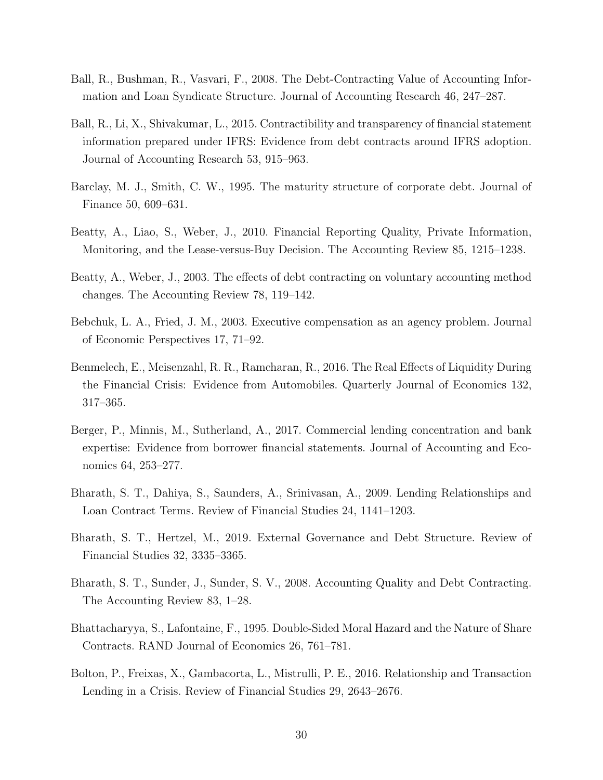- <span id="page-31-6"></span>Ball, R., Bushman, R., Vasvari, F., 2008. The Debt-Contracting Value of Accounting Information and Loan Syndicate Structure. Journal of Accounting Research 46, 247–287.
- <span id="page-31-12"></span>Ball, R., Li, X., Shivakumar, L., 2015. Contractibility and transparency of financial statement information prepared under IFRS: Evidence from debt contracts around IFRS adoption. Journal of Accounting Research 53, 915–963.
- <span id="page-31-4"></span>Barclay, M. J., Smith, C. W., 1995. The maturity structure of corporate debt. Journal of Finance 50, 609–631.
- <span id="page-31-1"></span>Beatty, A., Liao, S., Weber, J., 2010. Financial Reporting Quality, Private Information, Monitoring, and the Lease-versus-Buy Decision. The Accounting Review 85, 1215–1238.
- <span id="page-31-3"></span>Beatty, A., Weber, J., 2003. The effects of debt contracting on voluntary accounting method changes. The Accounting Review 78, 119–142.
- <span id="page-31-8"></span>Bebchuk, L. A., Fried, J. M., 2003. Executive compensation as an agency problem. Journal of Economic Perspectives 17, 71–92.
- <span id="page-31-2"></span>Benmelech, E., Meisenzahl, R. R., Ramcharan, R., 2016. The Real Effects of Liquidity During the Financial Crisis: Evidence from Automobiles. Quarterly Journal of Economics 132, 317–365.
- <span id="page-31-9"></span>Berger, P., Minnis, M., Sutherland, A., 2017. Commercial lending concentration and bank expertise: Evidence from borrower financial statements. Journal of Accounting and Economics 64, 253–277.
- <span id="page-31-0"></span>Bharath, S. T., Dahiya, S., Saunders, A., Srinivasan, A., 2009. Lending Relationships and Loan Contract Terms. Review of Financial Studies 24, 1141–1203.
- <span id="page-31-5"></span>Bharath, S. T., Hertzel, M., 2019. External Governance and Debt Structure. Review of Financial Studies 32, 3335–3365.
- <span id="page-31-7"></span>Bharath, S. T., Sunder, J., Sunder, S. V., 2008. Accounting Quality and Debt Contracting. The Accounting Review 83, 1–28.
- <span id="page-31-11"></span>Bhattacharyya, S., Lafontaine, F., 1995. Double-Sided Moral Hazard and the Nature of Share Contracts. RAND Journal of Economics 26, 761–781.
- <span id="page-31-10"></span>Bolton, P., Freixas, X., Gambacorta, L., Mistrulli, P. E., 2016. Relationship and Transaction Lending in a Crisis. Review of Financial Studies 29, 2643–2676.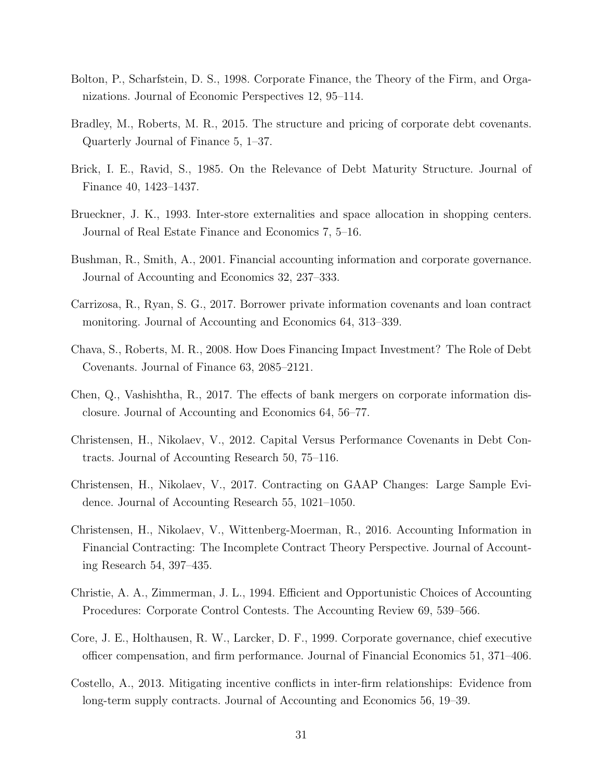- <span id="page-32-13"></span>Bolton, P., Scharfstein, D. S., 1998. Corporate Finance, the Theory of the Firm, and Organizations. Journal of Economic Perspectives 12, 95–114.
- <span id="page-32-7"></span>Bradley, M., Roberts, M. R., 2015. The structure and pricing of corporate debt covenants. Quarterly Journal of Finance 5, 1–37.
- <span id="page-32-8"></span>Brick, I. E., Ravid, S., 1985. On the Relevance of Debt Maturity Structure. Journal of Finance 40, 1423–1437.
- <span id="page-32-6"></span>Brueckner, J. K., 1993. Inter-store externalities and space allocation in shopping centers. Journal of Real Estate Finance and Economics 7, 5–16.
- <span id="page-32-3"></span>Bushman, R., Smith, A., 2001. Financial accounting information and corporate governance. Journal of Accounting and Economics 32, 237–333.
- <span id="page-32-9"></span>Carrizosa, R., Ryan, S. G., 2017. Borrower private information covenants and loan contract monitoring. Journal of Accounting and Economics 64, 313–339.
- <span id="page-32-11"></span>Chava, S., Roberts, M. R., 2008. How Does Financing Impact Investment? The Role of Debt Covenants. Journal of Finance 63, 2085–2121.
- <span id="page-32-12"></span>Chen, Q., Vashishtha, R., 2017. The effects of bank mergers on corporate information disclosure. Journal of Accounting and Economics 64, 56–77.
- <span id="page-32-0"></span>Christensen, H., Nikolaev, V., 2012. Capital Versus Performance Covenants in Debt Contracts. Journal of Accounting Research 50, 75–116.
- <span id="page-32-10"></span>Christensen, H., Nikolaev, V., 2017. Contracting on GAAP Changes: Large Sample Evidence. Journal of Accounting Research 55, 1021–1050.
- <span id="page-32-4"></span>Christensen, H., Nikolaev, V., Wittenberg-Moerman, R., 2016. Accounting Information in Financial Contracting: The Incomplete Contract Theory Perspective. Journal of Accounting Research 54, 397–435.
- <span id="page-32-5"></span>Christie, A. A., Zimmerman, J. L., 1994. Efficient and Opportunistic Choices of Accounting Procedures: Corporate Control Contests. The Accounting Review 69, 539–566.
- <span id="page-32-1"></span>Core, J. E., Holthausen, R. W., Larcker, D. F., 1999. Corporate governance, chief executive officer compensation, and firm performance. Journal of Financial Economics 51, 371–406.
- <span id="page-32-2"></span>Costello, A., 2013. Mitigating incentive conflicts in inter-firm relationships: Evidence from long-term supply contracts. Journal of Accounting and Economics 56, 19–39.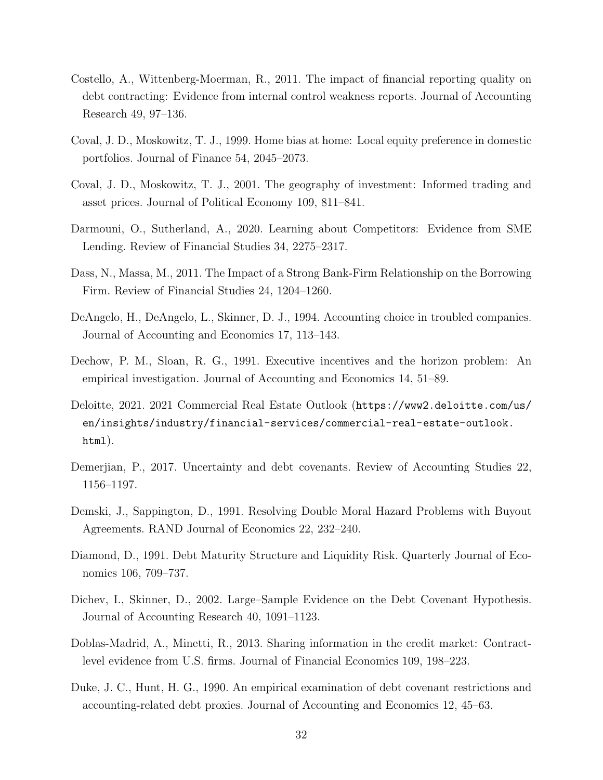- <span id="page-33-3"></span>Costello, A., Wittenberg-Moerman, R., 2011. The impact of financial reporting quality on debt contracting: Evidence from internal control weakness reports. Journal of Accounting Research 49, 97–136.
- <span id="page-33-5"></span>Coval, J. D., Moskowitz, T. J., 1999. Home bias at home: Local equity preference in domestic portfolios. Journal of Finance 54, 2045–2073.
- <span id="page-33-6"></span>Coval, J. D., Moskowitz, T. J., 2001. The geography of investment: Informed trading and asset prices. Journal of Political Economy 109, 811–841.
- <span id="page-33-0"></span>Darmouni, O., Sutherland, A., 2020. Learning about Competitors: Evidence from SME Lending. Review of Financial Studies 34, 2275–2317.
- <span id="page-33-7"></span>Dass, N., Massa, M., 2011. The Impact of a Strong Bank-Firm Relationship on the Borrowing Firm. Review of Financial Studies 24, 1204–1260.
- <span id="page-33-8"></span>DeAngelo, H., DeAngelo, L., Skinner, D. J., 1994. Accounting choice in troubled companies. Journal of Accounting and Economics 17, 113–143.
- <span id="page-33-9"></span>Dechow, P. M., Sloan, R. G., 1991. Executive incentives and the horizon problem: An empirical investigation. Journal of Accounting and Economics 14, 51–89.
- <span id="page-33-13"></span>Deloitte, 2021. 2021 Commercial Real Estate Outlook ([https://www2.deloitte.com/us/](https://www2.deloitte.com/us/en/insights/industry/financial-services/commercial-real-estate-outlook.html) [en/insights/industry/financial-services/commercial-real-estate-outlook.](https://www2.deloitte.com/us/en/insights/industry/financial-services/commercial-real-estate-outlook.html) [html](https://www2.deloitte.com/us/en/insights/industry/financial-services/commercial-real-estate-outlook.html)).
- <span id="page-33-12"></span>Demerjian, P., 2017. Uncertainty and debt covenants. Review of Accounting Studies 22, 1156–1197.
- <span id="page-33-11"></span>Demski, J., Sappington, D., 1991. Resolving Double Moral Hazard Problems with Buyout Agreements. RAND Journal of Economics 22, 232–240.
- <span id="page-33-2"></span>Diamond, D., 1991. Debt Maturity Structure and Liquidity Risk. Quarterly Journal of Economics 106, 709–737.
- <span id="page-33-4"></span>Dichev, I., Skinner, D., 2002. Large–Sample Evidence on the Debt Covenant Hypothesis. Journal of Accounting Research 40, 1091–1123.
- <span id="page-33-1"></span>Doblas-Madrid, A., Minetti, R., 2013. Sharing information in the credit market: Contractlevel evidence from U.S. firms. Journal of Financial Economics 109, 198–223.
- <span id="page-33-10"></span>Duke, J. C., Hunt, H. G., 1990. An empirical examination of debt covenant restrictions and accounting-related debt proxies. Journal of Accounting and Economics 12, 45–63.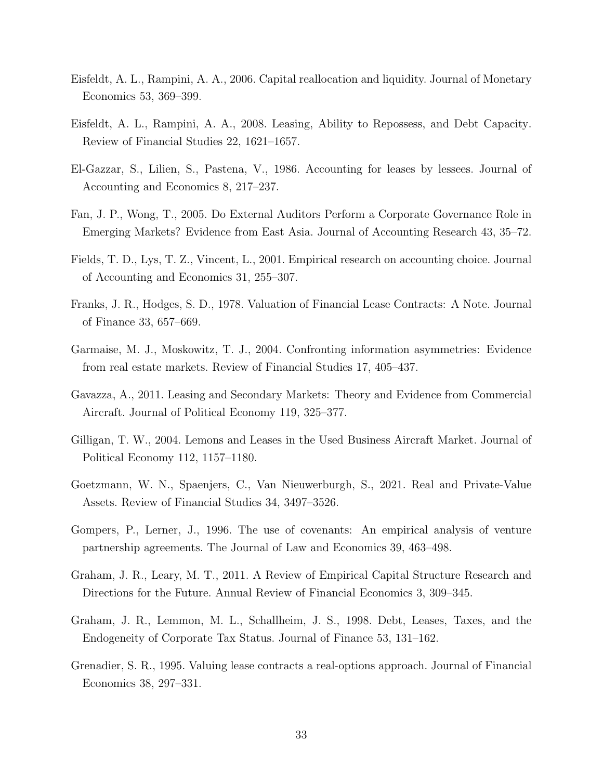- <span id="page-34-3"></span>Eisfeldt, A. L., Rampini, A. A., 2006. Capital reallocation and liquidity. Journal of Monetary Economics 53, 369–399.
- <span id="page-34-0"></span>Eisfeldt, A. L., Rampini, A. A., 2008. Leasing, Ability to Repossess, and Debt Capacity. Review of Financial Studies 22, 1621–1657.
- <span id="page-34-4"></span>El-Gazzar, S., Lilien, S., Pastena, V., 1986. Accounting for leases by lessees. Journal of Accounting and Economics 8, 217–237.
- <span id="page-34-12"></span>Fan, J. P., Wong, T., 2005. Do External Auditors Perform a Corporate Governance Role in Emerging Markets? Evidence from East Asia. Journal of Accounting Research 43, 35–72.
- <span id="page-34-10"></span>Fields, T. D., Lys, T. Z., Vincent, L., 2001. Empirical research on accounting choice. Journal of Accounting and Economics 31, 255–307.
- <span id="page-34-5"></span>Franks, J. R., Hodges, S. D., 1978. Valuation of Financial Lease Contracts: A Note. Journal of Finance 33, 657–669.
- <span id="page-34-2"></span>Garmaise, M. J., Moskowitz, T. J., 2004. Confronting information asymmetries: Evidence from real estate markets. Review of Financial Studies 17, 405–437.
- <span id="page-34-6"></span>Gavazza, A., 2011. Leasing and Secondary Markets: Theory and Evidence from Commercial Aircraft. Journal of Political Economy 119, 325–377.
- <span id="page-34-7"></span>Gilligan, T. W., 2004. Lemons and Leases in the Used Business Aircraft Market. Journal of Political Economy 112, 1157–1180.
- <span id="page-34-1"></span>Goetzmann, W. N., Spaenjers, C., Van Nieuwerburgh, S., 2021. Real and Private-Value Assets. Review of Financial Studies 34, 3497–3526.
- <span id="page-34-13"></span>Gompers, P., Lerner, J., 1996. The use of covenants: An empirical analysis of venture partnership agreements. The Journal of Law and Economics 39, 463–498.
- <span id="page-34-11"></span>Graham, J. R., Leary, M. T., 2011. A Review of Empirical Capital Structure Research and Directions for the Future. Annual Review of Financial Economics 3, 309–345.
- <span id="page-34-8"></span>Graham, J. R., Lemmon, M. L., Schallheim, J. S., 1998. Debt, Leases, Taxes, and the Endogeneity of Corporate Tax Status. Journal of Finance 53, 131–162.
- <span id="page-34-9"></span>Grenadier, S. R., 1995. Valuing lease contracts a real-options approach. Journal of Financial Economics 38, 297–331.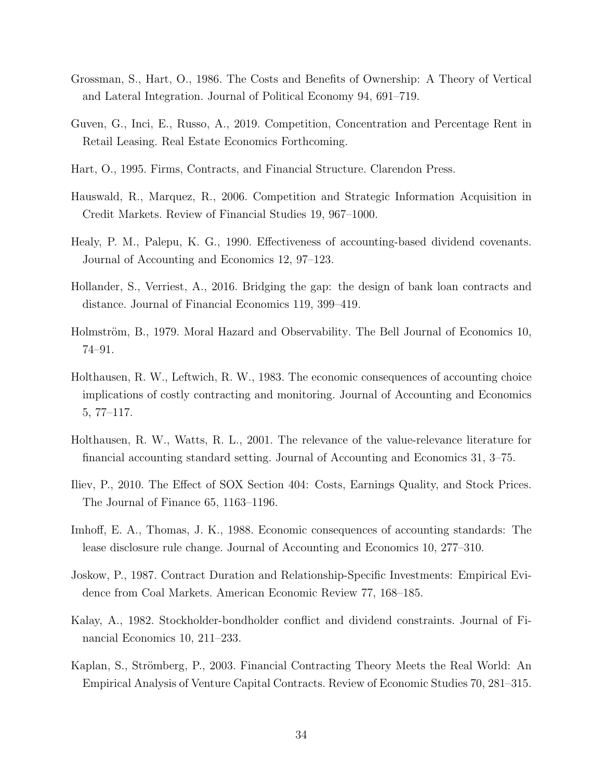- <span id="page-35-0"></span>Grossman, S., Hart, O., 1986. The Costs and Benefits of Ownership: A Theory of Vertical and Lateral Integration. Journal of Political Economy 94, 691–719.
- <span id="page-35-6"></span>Guven, G., Inci, E., Russo, A., 2019. Competition, Concentration and Percentage Rent in Retail Leasing. Real Estate Economics Forthcoming.
- <span id="page-35-4"></span>Hart, O., 1995. Firms, Contracts, and Financial Structure. Clarendon Press.
- <span id="page-35-8"></span>Hauswald, R., Marquez, R., 2006. Competition and Strategic Information Acquisition in Credit Markets. Review of Financial Studies 19, 967–1000.
- <span id="page-35-10"></span>Healy, P. M., Palepu, K. G., 1990. Effectiveness of accounting-based dividend covenants. Journal of Accounting and Economics 12, 97–123.
- <span id="page-35-9"></span>Hollander, S., Verriest, A., 2016. Bridging the gap: the design of bank loan contracts and distance. Journal of Financial Economics 119, 399–419.
- <span id="page-35-5"></span>Holmström, B., 1979. Moral Hazard and Observability. The Bell Journal of Economics 10, 74–91.
- <span id="page-35-1"></span>Holthausen, R. W., Leftwich, R. W., 1983. The economic consequences of accounting choice implications of costly contracting and monitoring. Journal of Accounting and Economics 5, 77–117.
- <span id="page-35-2"></span>Holthausen, R. W., Watts, R. L., 2001. The relevance of the value-relevance literature for financial accounting standard setting. Journal of Accounting and Economics 31, 3–75.
- <span id="page-35-7"></span>Iliev, P., 2010. The Effect of SOX Section 404: Costs, Earnings Quality, and Stock Prices. The Journal of Finance 65, 1163–1196.
- <span id="page-35-3"></span>Imhoff, E. A., Thomas, J. K., 1988. Economic consequences of accounting standards: The lease disclosure rule change. Journal of Accounting and Economics 10, 277–310.
- <span id="page-35-12"></span>Joskow, P., 1987. Contract Duration and Relationship-Specific Investments: Empirical Evidence from Coal Markets. American Economic Review 77, 168–185.
- <span id="page-35-11"></span>Kalay, A., 1982. Stockholder-bondholder conflict and dividend constraints. Journal of Financial Economics 10, 211–233.
- <span id="page-35-13"></span>Kaplan, S., Strömberg, P., 2003. Financial Contracting Theory Meets the Real World: An Empirical Analysis of Venture Capital Contracts. Review of Economic Studies 70, 281–315.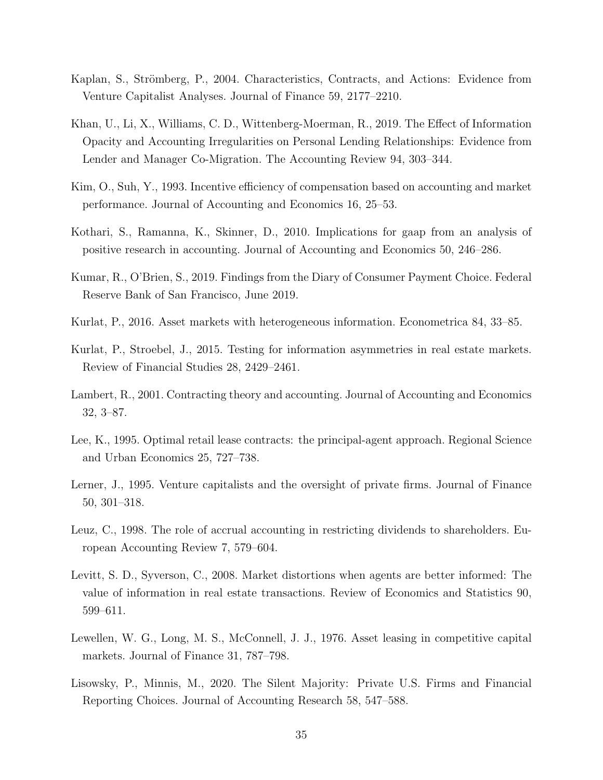- <span id="page-36-13"></span>Kaplan, S., Strömberg, P., 2004. Characteristics, Contracts, and Actions: Evidence from Venture Capitalist Analyses. Journal of Finance 59, 2177–2210.
- <span id="page-36-11"></span>Khan, U., Li, X., Williams, C. D., Wittenberg-Moerman, R., 2019. The Effect of Information Opacity and Accounting Irregularities on Personal Lending Relationships: Evidence from Lender and Manager Co-Migration. The Accounting Review 94, 303–344.
- <span id="page-36-8"></span>Kim, O., Suh, Y., 1993. Incentive efficiency of compensation based on accounting and market performance. Journal of Accounting and Economics 16, 25–53.
- <span id="page-36-1"></span>Kothari, S., Ramanna, K., Skinner, D., 2010. Implications for gaap from an analysis of positive research in accounting. Journal of Accounting and Economics 50, 246–286.
- <span id="page-36-9"></span>Kumar, R., O'Brien, S., 2019. Findings from the Diary of Consumer Payment Choice. Federal Reserve Bank of San Francisco, June 2019.
- <span id="page-36-0"></span>Kurlat, P., 2016. Asset markets with heterogeneous information. Econometrica 84, 33–85.
- <span id="page-36-3"></span>Kurlat, P., Stroebel, J., 2015. Testing for information asymmetries in real estate markets. Review of Financial Studies 28, 2429–2461.
- <span id="page-36-2"></span>Lambert, R., 2001. Contracting theory and accounting. Journal of Accounting and Economics 32, 3–87.
- <span id="page-36-7"></span>Lee, K., 1995. Optimal retail lease contracts: the principal-agent approach. Regional Science and Urban Economics 25, 727–738.
- <span id="page-36-10"></span>Lerner, J., 1995. Venture capitalists and the oversight of private firms. Journal of Finance 50, 301–318.
- <span id="page-36-12"></span>Leuz, C., 1998. The role of accrual accounting in restricting dividends to shareholders. European Accounting Review 7, 579–604.
- <span id="page-36-4"></span>Levitt, S. D., Syverson, C., 2008. Market distortions when agents are better informed: The value of information in real estate transactions. Review of Economics and Statistics 90, 599–611.
- <span id="page-36-6"></span>Lewellen, W. G., Long, M. S., McConnell, J. J., 1976. Asset leasing in competitive capital markets. Journal of Finance 31, 787–798.
- <span id="page-36-5"></span>Lisowsky, P., Minnis, M., 2020. The Silent Majority: Private U.S. Firms and Financial Reporting Choices. Journal of Accounting Research 58, 547–588.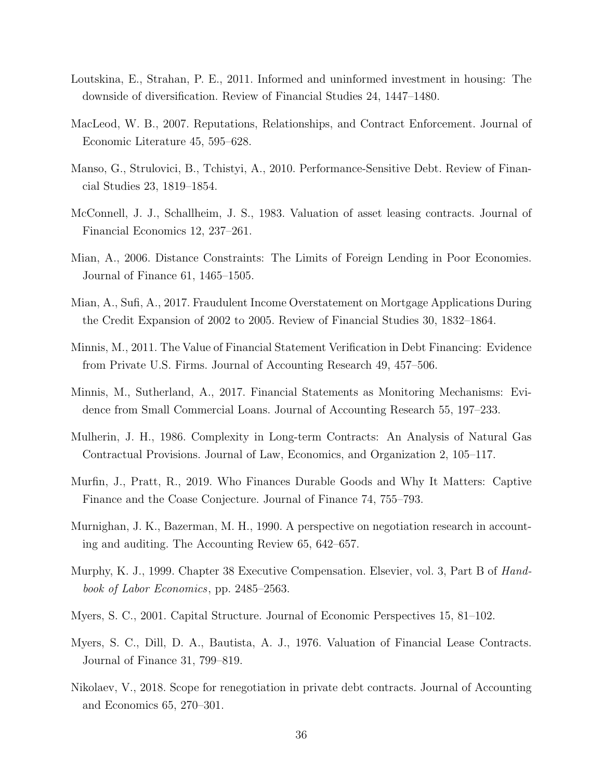- <span id="page-37-4"></span>Loutskina, E., Strahan, P. E., 2011. Informed and uninformed investment in housing: The downside of diversification. Review of Financial Studies 24, 1447–1480.
- <span id="page-37-13"></span>MacLeod, W. B., 2007. Reputations, Relationships, and Contract Enforcement. Journal of Economic Literature 45, 595–628.
- <span id="page-37-10"></span>Manso, G., Strulovici, B., Tchistyi, A., 2010. Performance-Sensitive Debt. Review of Financial Studies 23, 1819–1854.
- <span id="page-37-6"></span>McConnell, J. J., Schallheim, J. S., 1983. Valuation of asset leasing contracts. Journal of Financial Economics 12, 237–261.
- <span id="page-37-1"></span>Mian, A., 2006. Distance Constraints: The Limits of Foreign Lending in Poor Economies. Journal of Finance 61, 1465–1505.
- <span id="page-37-3"></span>Mian, A., Sufi, A., 2017. Fraudulent Income Overstatement on Mortgage Applications During the Credit Expansion of 2002 to 2005. Review of Financial Studies 30, 1832–1864.
- <span id="page-37-0"></span>Minnis, M., 2011. The Value of Financial Statement Verification in Debt Financing: Evidence from Private U.S. Firms. Journal of Accounting Research 49, 457–506.
- <span id="page-37-5"></span>Minnis, M., Sutherland, A., 2017. Financial Statements as Monitoring Mechanisms: Evidence from Small Commercial Loans. Journal of Accounting Research 55, 197–233.
- <span id="page-37-14"></span>Mulherin, J. H., 1986. Complexity in Long-term Contracts: An Analysis of Natural Gas Contractual Provisions. Journal of Law, Economics, and Organization 2, 105–117.
- <span id="page-37-7"></span>Murfin, J., Pratt, R., 2019. Who Finances Durable Goods and Why It Matters: Captive Finance and the Coase Conjecture. Journal of Finance 74, 755–793.
- <span id="page-37-12"></span>Murnighan, J. K., Bazerman, M. H., 1990. A perspective on negotiation research in accounting and auditing. The Accounting Review 65, 642–657.
- <span id="page-37-2"></span>Murphy, K. J., 1999. Chapter 38 Executive Compensation. Elsevier, vol. 3, Part B of Handbook of Labor Economics, pp. 2485–2563.
- <span id="page-37-9"></span>Myers, S. C., 2001. Capital Structure. Journal of Economic Perspectives 15, 81–102.
- <span id="page-37-8"></span>Myers, S. C., Dill, D. A., Bautista, A. J., 1976. Valuation of Financial Lease Contracts. Journal of Finance 31, 799–819.
- <span id="page-37-11"></span>Nikolaev, V., 2018. Scope for renegotiation in private debt contracts. Journal of Accounting and Economics 65, 270–301.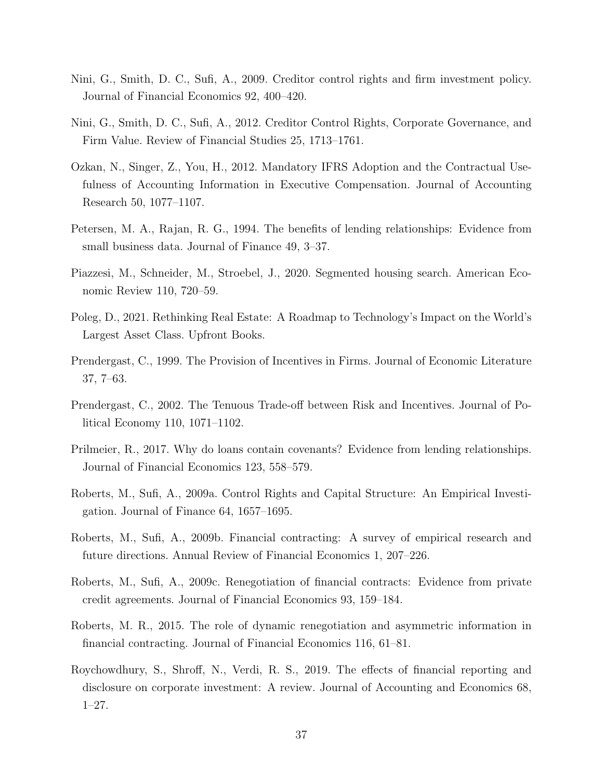- <span id="page-38-1"></span>Nini, G., Smith, D. C., Sufi, A., 2009. Creditor control rights and firm investment policy. Journal of Financial Economics 92, 400–420.
- <span id="page-38-12"></span>Nini, G., Smith, D. C., Sufi, A., 2012. Creditor Control Rights, Corporate Governance, and Firm Value. Review of Financial Studies 25, 1713–1761.
- <span id="page-38-9"></span>Ozkan, N., Singer, Z., You, H., 2012. Mandatory IFRS Adoption and the Contractual Usefulness of Accounting Information in Executive Compensation. Journal of Accounting Research 50, 1077–1107.
- <span id="page-38-3"></span>Petersen, M. A., Rajan, R. G., 1994. The benefits of lending relationships: Evidence from small business data. Journal of Finance 49, 3–37.
- <span id="page-38-6"></span>Piazzesi, M., Schneider, M., Stroebel, J., 2020. Segmented housing search. American Economic Review 110, 720–59.
- <span id="page-38-0"></span>Poleg, D., 2021. Rethinking Real Estate: A Roadmap to Technology's Impact on the World's Largest Asset Class. Upfront Books.
- <span id="page-38-4"></span>Prendergast, C., 1999. The Provision of Incentives in Firms. Journal of Economic Literature 37, 7–63.
- <span id="page-38-10"></span>Prendergast, C., 2002. The Tenuous Trade-off between Risk and Incentives. Journal of Political Economy 110, 1071–1102.
- <span id="page-38-11"></span>Prilmeier, R., 2017. Why do loans contain covenants? Evidence from lending relationships. Journal of Financial Economics 123, 558–579.
- <span id="page-38-13"></span>Roberts, M., Sufi, A., 2009a. Control Rights and Capital Structure: An Empirical Investigation. Journal of Finance 64, 1657–1695.
- <span id="page-38-5"></span>Roberts, M., Sufi, A., 2009b. Financial contracting: A survey of empirical research and future directions. Annual Review of Financial Economics 1, 207–226.
- <span id="page-38-8"></span>Roberts, M., Sufi, A., 2009c. Renegotiation of financial contracts: Evidence from private credit agreements. Journal of Financial Economics 93, 159–184.
- <span id="page-38-2"></span>Roberts, M. R., 2015. The role of dynamic renegotiation and asymmetric information in financial contracting. Journal of Financial Economics 116, 61–81.
- <span id="page-38-7"></span>Roychowdhury, S., Shroff, N., Verdi, R. S., 2019. The effects of financial reporting and disclosure on corporate investment: A review. Journal of Accounting and Economics 68, 1–27.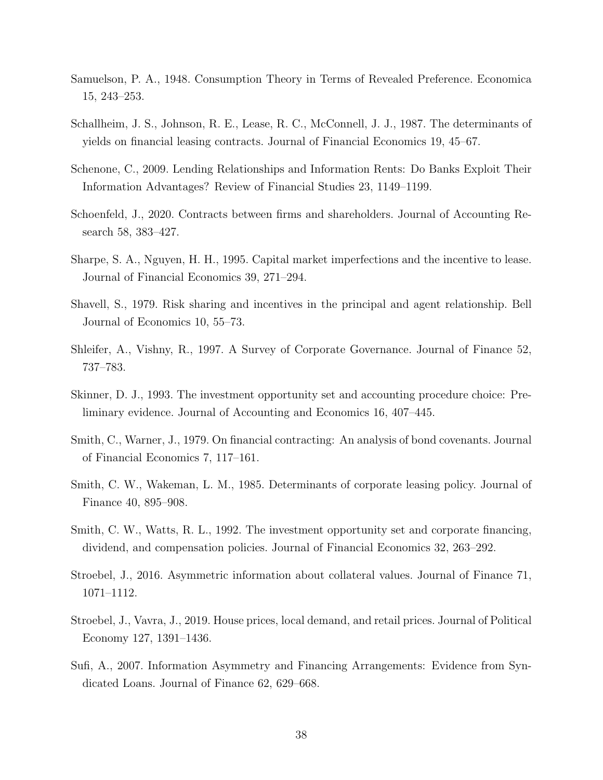- <span id="page-39-2"></span>Samuelson, P. A., 1948. Consumption Theory in Terms of Revealed Preference. Economica 15, 243–253.
- <span id="page-39-7"></span>Schallheim, J. S., Johnson, R. E., Lease, R. C., McConnell, J. J., 1987. The determinants of yields on financial leasing contracts. Journal of Financial Economics 19, 45–67.
- <span id="page-39-13"></span>Schenone, C., 2009. Lending Relationships and Information Rents: Do Banks Exploit Their Information Advantages? Review of Financial Studies 23, 1149–1199.
- <span id="page-39-3"></span>Schoenfeld, J., 2020. Contracts between firms and shareholders. Journal of Accounting Research 58, 383–427.
- <span id="page-39-8"></span>Sharpe, S. A., Nguyen, H. H., 1995. Capital market imperfections and the incentive to lease. Journal of Financial Economics 39, 271–294.
- <span id="page-39-1"></span>Shavell, S., 1979. Risk sharing and incentives in the principal and agent relationship. Bell Journal of Economics 10, 55–73.
- <span id="page-39-12"></span>Shleifer, A., Vishny, R., 1997. A Survey of Corporate Governance. Journal of Finance 52, 737–783.
- <span id="page-39-11"></span>Skinner, D. J., 1993. The investment opportunity set and accounting procedure choice: Preliminary evidence. Journal of Accounting and Economics 16, 407–445.
- <span id="page-39-0"></span>Smith, C., Warner, J., 1979. On financial contracting: An analysis of bond covenants. Journal of Financial Economics 7, 117–161.
- <span id="page-39-9"></span>Smith, C. W., Wakeman, L. M., 1985. Determinants of corporate leasing policy. Journal of Finance 40, 895–908.
- <span id="page-39-10"></span>Smith, C. W., Watts, R. L., 1992. The investment opportunity set and corporate financing, dividend, and compensation policies. Journal of Financial Economics 32, 263–292.
- <span id="page-39-5"></span>Stroebel, J., 2016. Asymmetric information about collateral values. Journal of Finance 71, 1071–1112.
- <span id="page-39-6"></span>Stroebel, J., Vavra, J., 2019. House prices, local demand, and retail prices. Journal of Political Economy 127, 1391–1436.
- <span id="page-39-4"></span>Sufi, A., 2007. Information Asymmetry and Financing Arrangements: Evidence from Syndicated Loans. Journal of Finance 62, 629–668.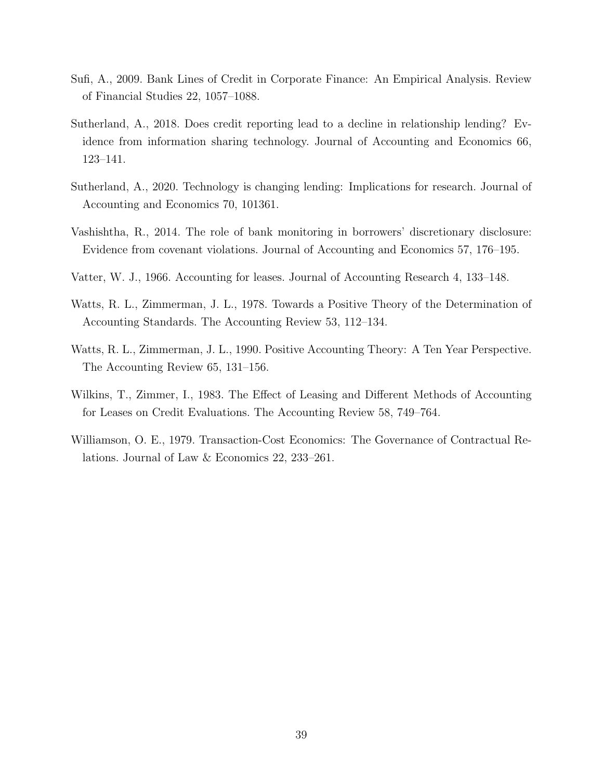- <span id="page-40-8"></span>Sufi, A., 2009. Bank Lines of Credit in Corporate Finance: An Empirical Analysis. Review of Financial Studies 22, 1057–1088.
- <span id="page-40-1"></span>Sutherland, A., 2018. Does credit reporting lead to a decline in relationship lending? Evidence from information sharing technology. Journal of Accounting and Economics 66, 123–141.
- <span id="page-40-6"></span>Sutherland, A., 2020. Technology is changing lending: Implications for research. Journal of Accounting and Economics 70, 101361.
- <span id="page-40-2"></span>Vashishtha, R., 2014. The role of bank monitoring in borrowers' discretionary disclosure: Evidence from covenant violations. Journal of Accounting and Economics 57, 176–195.
- <span id="page-40-5"></span>Vatter, W. J., 1966. Accounting for leases. Journal of Accounting Research 4, 133–148.
- <span id="page-40-3"></span>Watts, R. L., Zimmerman, J. L., 1978. Towards a Positive Theory of the Determination of Accounting Standards. The Accounting Review 53, 112–134.
- <span id="page-40-0"></span>Watts, R. L., Zimmerman, J. L., 1990. Positive Accounting Theory: A Ten Year Perspective. The Accounting Review 65, 131–156.
- <span id="page-40-4"></span>Wilkins, T., Zimmer, I., 1983. The Effect of Leasing and Different Methods of Accounting for Leases on Credit Evaluations. The Accounting Review 58, 749–764.
- <span id="page-40-7"></span>Williamson, O. E., 1979. Transaction-Cost Economics: The Governance of Contractual Relations. Journal of Law & Economics 22, 233–261.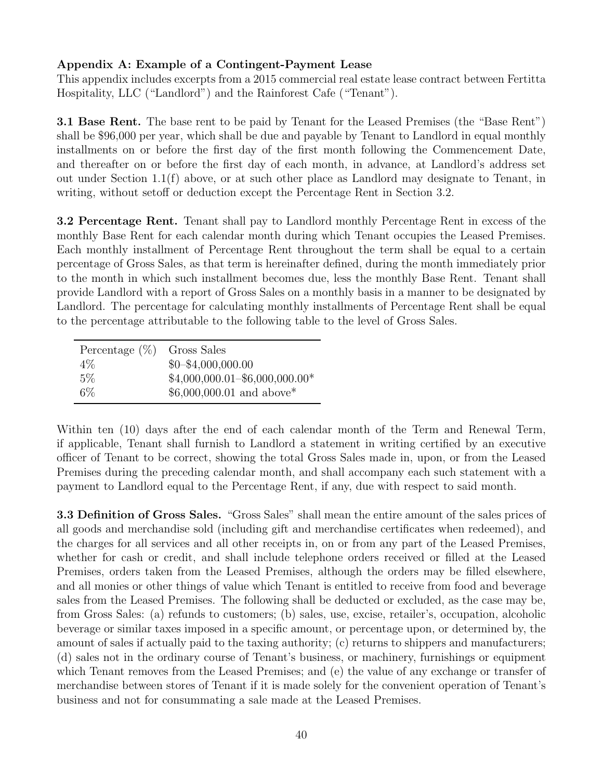#### Appendix A: Example of a Contingent-Payment Lease

This appendix includes excerpts from a 2015 commercial real estate lease contract between Fertitta Hospitality, LLC ("Landlord") and the Rainforest Cafe ("Tenant").

3.1 Base Rent. The base rent to be paid by Tenant for the Leased Premises (the "Base Rent") shall be \$96,000 per year, which shall be due and payable by Tenant to Landlord in equal monthly installments on or before the first day of the first month following the Commencement Date, and thereafter on or before the first day of each month, in advance, at Landlord's address set out under Section 1.1(f) above, or at such other place as Landlord may designate to Tenant, in writing, without setoff or deduction except the Percentage Rent in Section 3.2.

3.2 Percentage Rent. Tenant shall pay to Landlord monthly Percentage Rent in excess of the monthly Base Rent for each calendar month during which Tenant occupies the Leased Premises. Each monthly installment of Percentage Rent throughout the term shall be equal to a certain percentage of Gross Sales, as that term is hereinafter defined, during the month immediately prior to the month in which such installment becomes due, less the monthly Base Rent. Tenant shall provide Landlord with a report of Gross Sales on a monthly basis in a manner to be designated by Landlord. The percentage for calculating monthly installments of Percentage Rent shall be equal to the percentage attributable to the following table to the level of Gross Sales.

| Percentage $(\%)$ | Gross Sales                      |
|-------------------|----------------------------------|
| $4\%$             | $$0 - $4,000,000.00$             |
| $5\%$             | $$4,000,000.01 - $6,000,000.00*$ |
| $6\%$             | $$6,000,000.01$ and above*       |

Within ten (10) days after the end of each calendar month of the Term and Renewal Term, if applicable, Tenant shall furnish to Landlord a statement in writing certified by an executive officer of Tenant to be correct, showing the total Gross Sales made in, upon, or from the Leased Premises during the preceding calendar month, and shall accompany each such statement with a payment to Landlord equal to the Percentage Rent, if any, due with respect to said month.

3.3 Definition of Gross Sales. "Gross Sales" shall mean the entire amount of the sales prices of all goods and merchandise sold (including gift and merchandise certificates when redeemed), and the charges for all services and all other receipts in, on or from any part of the Leased Premises, whether for cash or credit, and shall include telephone orders received or filled at the Leased Premises, orders taken from the Leased Premises, although the orders may be filled elsewhere, and all monies or other things of value which Tenant is entitled to receive from food and beverage sales from the Leased Premises. The following shall be deducted or excluded, as the case may be, from Gross Sales: (a) refunds to customers; (b) sales, use, excise, retailer's, occupation, alcoholic beverage or similar taxes imposed in a specific amount, or percentage upon, or determined by, the amount of sales if actually paid to the taxing authority; (c) returns to shippers and manufacturers; (d) sales not in the ordinary course of Tenant's business, or machinery, furnishings or equipment which Tenant removes from the Leased Premises; and (e) the value of any exchange or transfer of merchandise between stores of Tenant if it is made solely for the convenient operation of Tenant's business and not for consummating a sale made at the Leased Premises.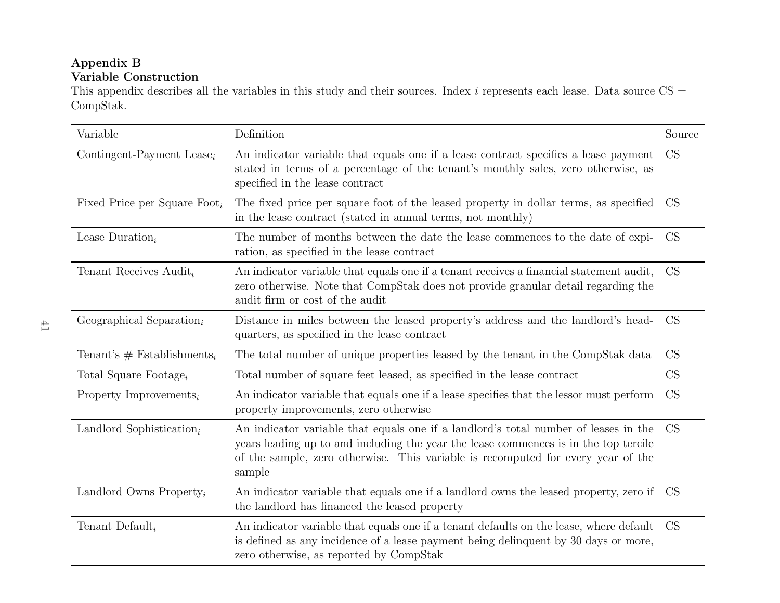#### Appendix BVariable Construction

This appendix describes all the variables in this study and their sources. Index  $i$  represents each lease. Data source  $\text{CS} =$ CompStak.

| Variable                                 | Definition                                                                                                                                                                                                                                                                | Source    |
|------------------------------------------|---------------------------------------------------------------------------------------------------------------------------------------------------------------------------------------------------------------------------------------------------------------------------|-----------|
| Contingent-Payment Lease <sub>i</sub>    | An indicator variable that equals one if a lease contract specifies a lease payment<br>stated in terms of a percentage of the tenant's monthly sales, zero otherwise, as<br>specified in the lease contract                                                               | CS        |
| Fixed Price per Square Foot <sub>i</sub> | The fixed price per square foot of the leased property in dollar terms, as specified<br>in the lease contract (stated in annual terms, not monthly)                                                                                                                       | CS        |
| Lease Duration <sub>i</sub>              | The number of months between the date the lease commences to the date of expi-<br>ration, as specified in the lease contract                                                                                                                                              | <b>CS</b> |
| Tenant Receives Audit <sub>i</sub>       | An indicator variable that equals one if a tenant receives a financial statement audit,<br>zero otherwise. Note that CompStak does not provide granular detail regarding the<br>audit firm or cost of the audit                                                           | <b>CS</b> |
| Geographical Separation <sub>i</sub>     | Distance in miles between the leased property's address and the landlord's head-<br>quarters, as specified in the lease contract                                                                                                                                          | <b>CS</b> |
| Tenant's $#$ Establishments <sub>i</sub> | The total number of unique properties leased by the tenant in the CompStak data                                                                                                                                                                                           | <b>CS</b> |
| Total Square Footage <sub>i</sub>        | Total number of square feet leased, as specified in the lease contract                                                                                                                                                                                                    | <b>CS</b> |
| Property Improvements <sub>i</sub>       | An indicator variable that equals one if a lease specifies that the lessor must perform<br>property improvements, zero otherwise                                                                                                                                          | <b>CS</b> |
| Landlord Sophistication <sub>i</sub>     | An indicator variable that equals one if a landlord's total number of leases in the<br>years leading up to and including the year the lease commences is in the top tercile<br>of the sample, zero otherwise. This variable is recomputed for every year of the<br>sample | <b>CS</b> |
| Landlord Owns Property <sub>i</sub>      | An indicator variable that equals one if a landlord owns the leased property, zero if CS<br>the landlord has financed the leased property                                                                                                                                 |           |
| Tenant Default <sub>i</sub>              | An indicator variable that equals one if a tenant defaults on the lease, where default<br>is defined as any incidence of a lease payment being delinquent by 30 days or more,<br>zero otherwise, as reported by CompStak                                                  | <b>CS</b> |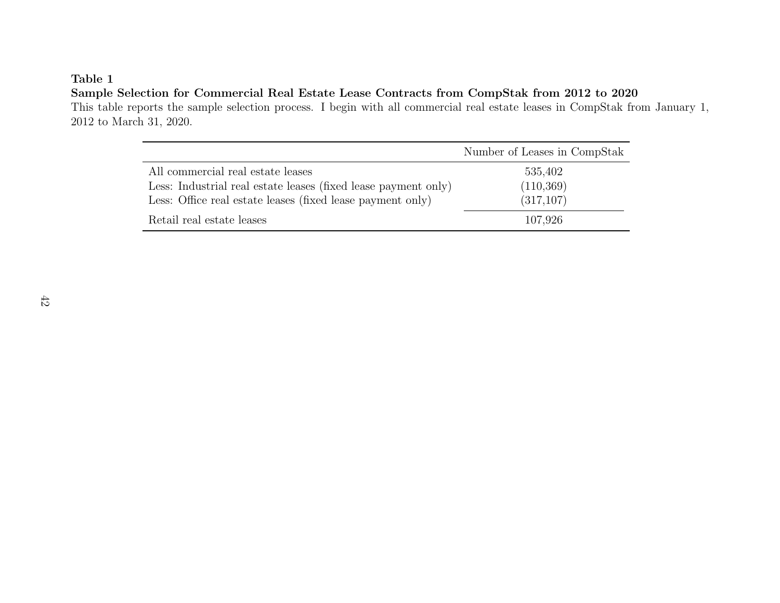#### Sample Selection for Commercial Real Estate Lease Contracts from CompStak from 2012 to 2020

 This table reports the sample selection process. I begin with all commercial real estate leases in CompStak from January 1,2012 to March 31, 2020.

|                                                                | Number of Leases in CompStak |
|----------------------------------------------------------------|------------------------------|
| All commercial real estate leases                              | 535,402                      |
| Less: Industrial real estate leases (fixed lease payment only) | (110, 369)                   |
| Less: Office real estate leases (fixed lease payment only)     | (317, 107)                   |
| Retail real estate leases                                      | 107,926                      |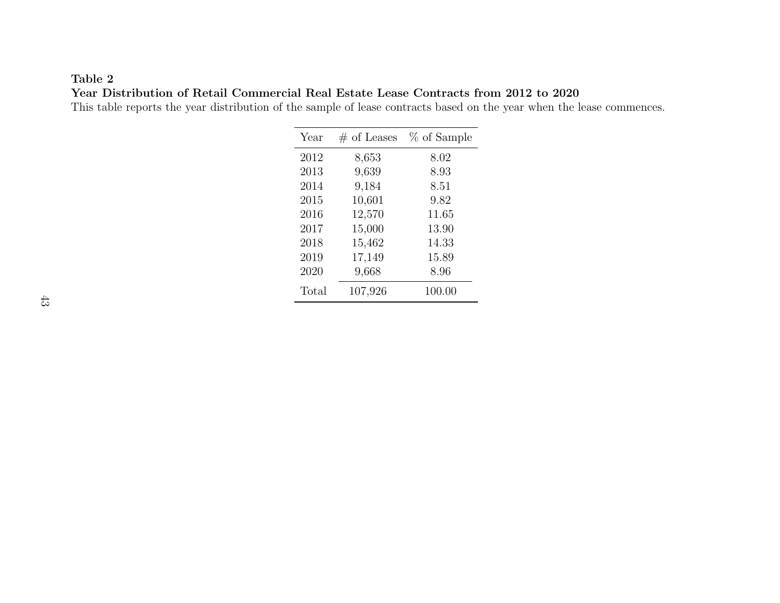#### Table 2Year Distribution of Retail Commercial Real Estate Lease Contracts from 2012 to 2020

This table reports the year distribution of the sample of lease contracts based on the year when the lease commences.

| Year |       | $#$ of Leases | % of Sample |
|------|-------|---------------|-------------|
| 2012 |       | 8,653         | 8.02        |
| 2013 |       | 9,639         | 8.93        |
| 2014 |       | 9,184         | 8.51        |
| 2015 |       | 10,601        | 9.82        |
| 2016 |       | 12,570        | 11.65       |
| 2017 |       | 15,000        | 13.90       |
| 2018 |       | 15,462        | 14.33       |
| 2019 |       | 17,149        | 15.89       |
| 2020 |       | 9,668         | 8.96        |
|      | Total | 107,926       | 100.00      |
|      |       |               |             |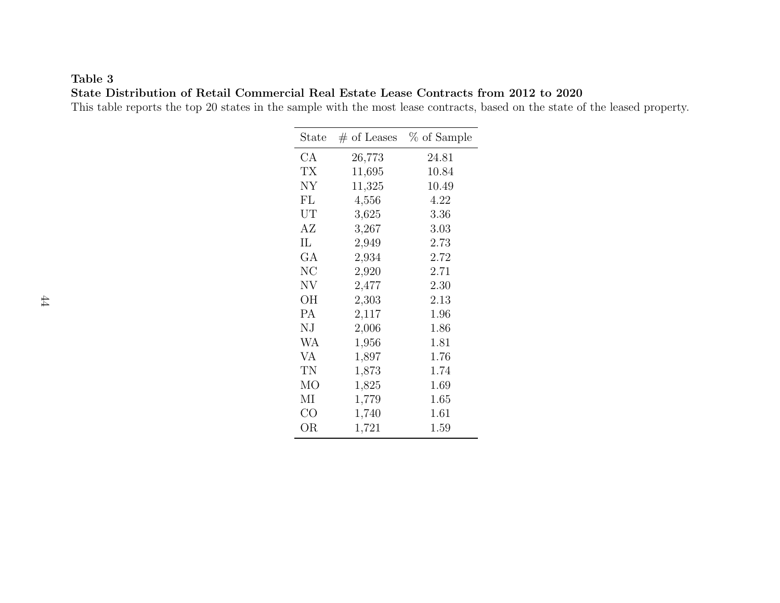### Table 3State Distribution of Retail Commercial Real Estate Lease Contracts from 2012 to 2020

This table reports the top 20 states in the sample with the most lease contracts, based on the state of the leased property.

| $\text{State}$ | $#$ of Leases | % of Sample |
|----------------|---------------|-------------|
| СA             | 26,773        | 24.81       |
| ТX             | 11,695        | 10.84       |
| NY             | 11,325        | 10.49       |
| FL             | 4,556         | 4.22        |
| UT             | 3,625         | 3.36        |
| AΖ             | 3,267         | 3.03        |
| IL             | 2,949         | 2.73        |
| GA             | 2,934         | 2.72        |
| NC             | 2,920         | 2.71        |
| NV             | 2,477         | 2.30        |
| OН             | 2,303         | 2.13        |
| <b>PA</b>      | 2,117         | 1.96        |
| ΝJ             | 2,006         | 1.86        |
| WA             | 1,956         | 1.81        |
| VA             | 1,897         | 1.76        |
| TN             | 1,873         | 1.74        |
| МO             | 1,825         | 1.69        |
| ΜΙ             | 1,779         | $1.65\,$    |
| CO             | 1,740         | 1.61        |
| ΟR             | 1,721         | 1.59        |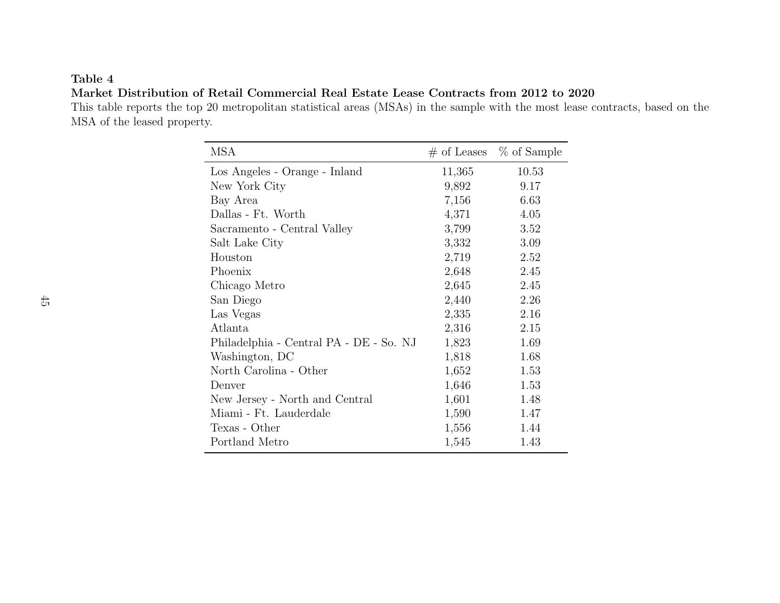#### Market Distribution of Retail Commercial Real Estate Lease Contracts from 2012 to 2020

 This table reports the top <sup>20</sup> metropolitan statistical areas (MSAs) in the sample with the most lease contracts, based on theMSA of the leased property.

| MSA                                     |        | $\#$ of Leases $\%$ of Sample |
|-----------------------------------------|--------|-------------------------------|
| Los Angeles - Orange - Inland           | 11,365 | 10.53                         |
| New York City                           | 9,892  | 9.17                          |
| Bay Area                                | 7,156  | 6.63                          |
| Dallas - Ft. Worth                      | 4,371  | 4.05                          |
| Sacramento - Central Valley             | 3,799  | 3.52                          |
| Salt Lake City                          | 3,332  | 3.09                          |
| Houston                                 | 2,719  | 2.52                          |
| Phoenix                                 | 2,648  | 2.45                          |
| Chicago Metro                           | 2,645  | 2.45                          |
| San Diego                               | 2,440  | 2.26                          |
| Las Vegas                               | 2,335  | 2.16                          |
| Atlanta                                 | 2,316  | 2.15                          |
| Philadelphia - Central PA - DE - So. NJ | 1,823  | 1.69                          |
| Washington, DC                          | 1,818  | 1.68                          |
| North Carolina - Other                  | 1,652  | 1.53                          |
| Denver                                  | 1,646  | 1.53                          |
| New Jersey - North and Central          | 1,601  | 1.48                          |
| Miami - Ft. Lauderdale                  | 1,590  | 1.47                          |
| Texas - Other                           | 1,556  | 1.44                          |
| Portland Metro                          | 1,545  | 1.43                          |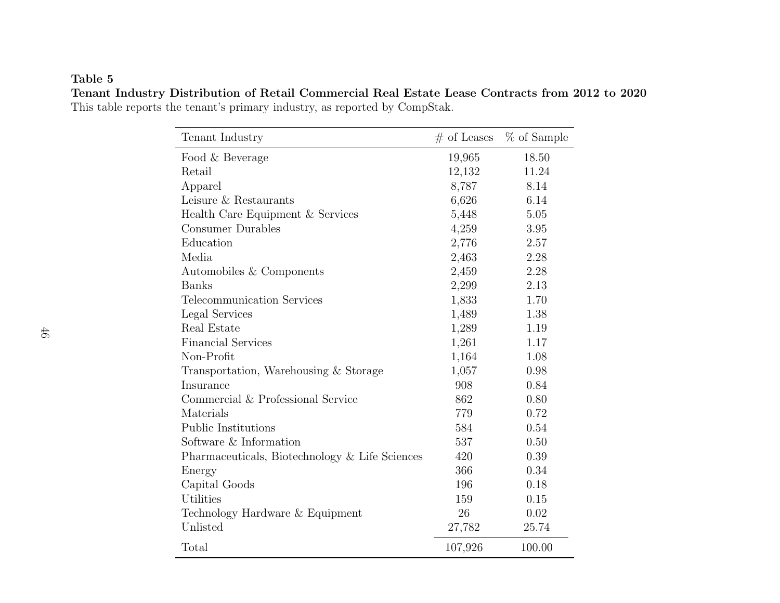### Table 5 Tenant Industry Distribution of Retail Commercial Real Estate Lease Contracts from 2012 to 2020This table reports the tenant's primary industry, as reported by CompStak.

| Tenant Industry                                | $#$ of Leases | % of Sample |
|------------------------------------------------|---------------|-------------|
| Food & Beverage                                | 19,965        | 18.50       |
| Retail                                         | 12,132        | 11.24       |
| Apparel                                        | 8,787         | 8.14        |
| Leisure & Restaurants                          | 6,626         | 6.14        |
| Health Care Equipment & Services               | 5,448         | 5.05        |
| <b>Consumer Durables</b>                       | 4,259         | 3.95        |
| Education                                      | 2,776         | 2.57        |
| Media                                          | 2,463         | 2.28        |
| Automobiles & Components                       | 2,459         | 2.28        |
| <b>Banks</b>                                   | 2,299         | 2.13        |
| Telecommunication Services                     | 1,833         | 1.70        |
| Legal Services                                 | 1,489         | 1.38        |
| Real Estate                                    | 1,289         | 1.19        |
| <b>Financial Services</b>                      | 1,261         | 1.17        |
| Non-Profit                                     | 1,164         | 1.08        |
| Transportation, Warehousing & Storage          | 1,057         | 0.98        |
| Insurance                                      | 908           | 0.84        |
| Commercial & Professional Service              | 862           | 0.80        |
| Materials                                      | 779           | 0.72        |
| <b>Public Institutions</b>                     | 584           | 0.54        |
| Software & Information                         | 537           | 0.50        |
| Pharmaceuticals, Biotechnology & Life Sciences | 420           | 0.39        |
| Energy                                         | 366           | 0.34        |
| Capital Goods                                  | 196           | 0.18        |
| Utilities                                      | 159           | 0.15        |
| Technology Hardware & Equipment                | 26            | 0.02        |
| Unlisted                                       | 27,782        | 25.74       |
| Total                                          | 107,926       | 100.00      |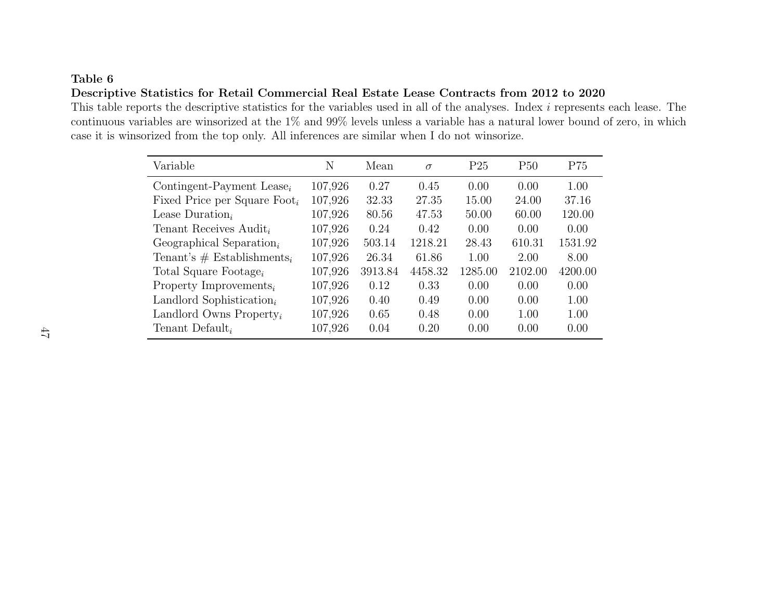## Table 6Descriptive Statistics for Retail Commercial Real Estate Lease Contracts from 2012 to 2020

This table reports the descriptive statistics for the variables used in all of the analyses. Index *i* represents each lease. The continuous variables are winsorized at the 1% and 99% levels unless <sup>a</sup> variable has <sup>a</sup> natural lower bound of zero, in whichcase it is winsorized from the top only. All inferences are similar when I do not winsorize.

| Variable                                 | N       | Mean    | $\sigma$ | P <sub>25</sub> | P50     | P75     |
|------------------------------------------|---------|---------|----------|-----------------|---------|---------|
| Contingent-Payment Lease <sub>i</sub>    | 107,926 | 0.27    | 0.45     | 0.00            | 0.00    | 1.00    |
| Fixed Price per Square Foot <sub>i</sub> | 107,926 | 32.33   | 27.35    | 15.00           | 24.00   | 37.16   |
| Lease Duration,                          | 107,926 | 80.56   | 47.53    | 50.00           | 60.00   | 120.00  |
| Tenant Receives Audit,                   | 107,926 | 0.24    | 0.42     | 0.00            | 0.00    | 0.00    |
| Geographical Separation <sub>i</sub>     | 107,926 | 503.14  | 1218.21  | 28.43           | 610.31  | 1531.92 |
| Tenant's $#$ Establishments <sub>i</sub> | 107,926 | 26.34   | 61.86    | 1.00            | 2.00    | 8.00    |
| Total Square Footage,                    | 107,926 | 3913.84 | 4458.32  | 1285.00         | 2102.00 | 4200.00 |
| Property Improvements <sub>i</sub>       | 107,926 | 0.12    | 0.33     | 0.00            | 0.00    | 0.00    |
| Landlord Sophistication <sub>i</sub>     | 107,926 | 0.40    | 0.49     | 0.00            | 0.00    | 1.00    |
| Landlord Owns Property <sub>i</sub>      | 107,926 | 0.65    | 0.48     | 0.00            | 1.00    | 1.00    |
| Tenant Default,                          | 107,926 | 0.04    | 0.20     | 0.00            | 0.00    | 0.00    |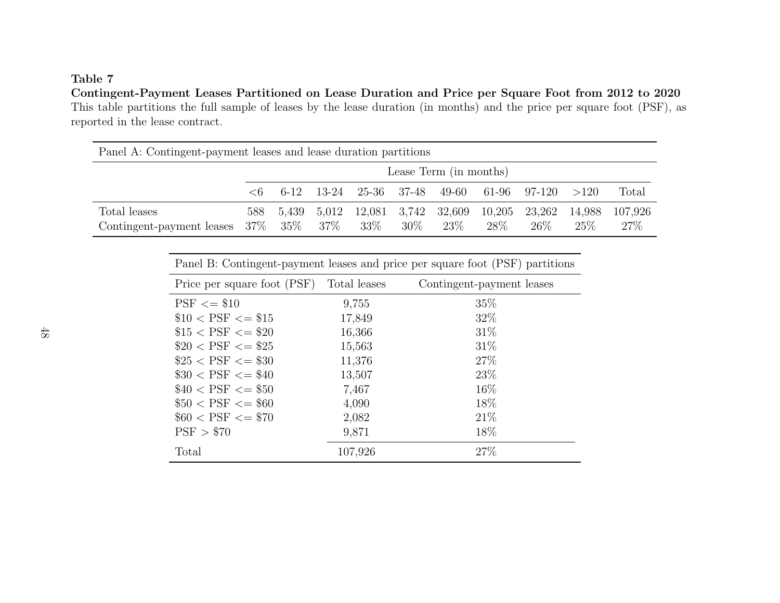Contingent-Payment Leases Partitioned on Lease Duration and Price per Square Foot from 2012 to 2020 This table partitions the full sample of leases by the lease duration (in months) and the price per square foot (PSF), asreported in the lease contract.

| Panel A: Contingent-payment leases and lease duration partitions |                        |       |  |               |        |                                     |                |                                                  |                  |                 |
|------------------------------------------------------------------|------------------------|-------|--|---------------|--------|-------------------------------------|----------------|--------------------------------------------------|------------------|-----------------|
|                                                                  | Lease Term (in months) |       |  |               |        |                                     |                |                                                  |                  |                 |
|                                                                  | $\leq 6$               |       |  |               |        |                                     |                | $6-12$ 13-24 25-36 37-48 49-60 61-96 97-120 >120 |                  | Total           |
| Total leases<br>Contingent-payment leases $37\%$ $35\%$          | 588                    | 5.439 |  | $37\%$ $33\%$ | $30\%$ | 5,012 12,081 3,742 32,609<br>$23\%$ | 10,205<br>28\% | 23,262<br>$26\%$                                 | 14,988<br>$25\%$ | 107.926<br>27\% |

| Panel B: Contingent-payment leases and price per square foot (PSF) partitions |              |                           |  |  |  |  |  |  |
|-------------------------------------------------------------------------------|--------------|---------------------------|--|--|--|--|--|--|
| Price per square foot (PSF)                                                   | Total leases | Contingent-payment leases |  |  |  |  |  |  |
| $PSF \leq 10$                                                                 | 9,755        | 35%                       |  |  |  |  |  |  |
| $$10 < PSF \leq $15$                                                          | 17,849       | 32%                       |  |  |  |  |  |  |
| $$15 < PSF \leq $20$                                                          | 16,366       | 31%                       |  |  |  |  |  |  |
| $$20 < PSF \leq $25$                                                          | 15,563       | 31%                       |  |  |  |  |  |  |
| $$25 < PSF \leq $30$                                                          | 11,376       | 27%                       |  |  |  |  |  |  |
| $\$30 < PSF \leq \$40$                                                        | 13,507       | 23\%                      |  |  |  |  |  |  |
| $$40 < PSF \leq $50$                                                          | 7,467        | $16\%$                    |  |  |  |  |  |  |
| $$50 < PSF \leq $60$                                                          | 4,090        | 18\%                      |  |  |  |  |  |  |
| $$60 < PSF \leq $70$                                                          | 2,082        | 21%                       |  |  |  |  |  |  |
| PSF > \$70                                                                    | 9,871        | 18\%                      |  |  |  |  |  |  |
| Total                                                                         | 107,926      | 27%                       |  |  |  |  |  |  |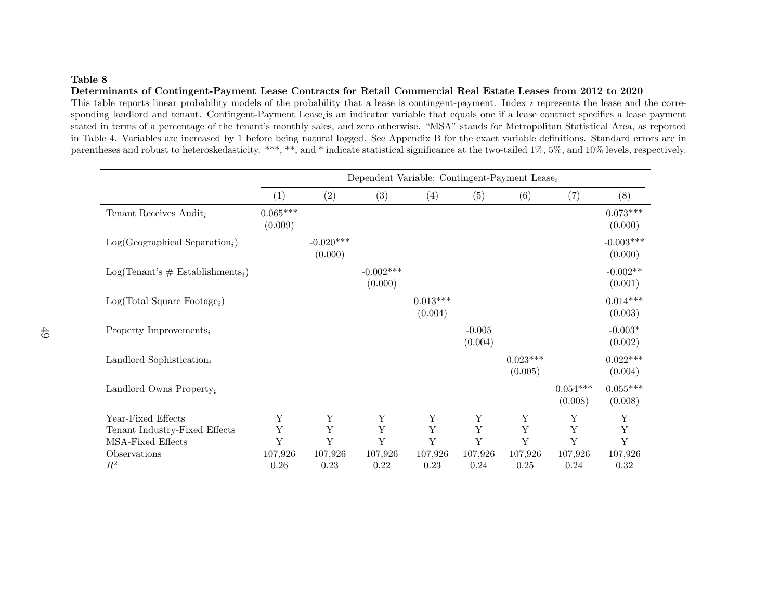#### Determinants of Contingent-Payment Lease Contracts for Retail Commercial Real Estate Leases from 2012 to 2020

This table reports linear probability models of the probability that a lease is contingent-payment. Index i represents the lease and the corresponding landlord and tenant. Contingent-Payment Lease<sub>i</sub> is an indicator variable that equals one if a lease contract specifies a lease payment stated in terms of <sup>a</sup> percentage of the tenant's monthly sales, and zero otherwise. "MSA" stands for Metropolitan Statistical Area, as reported in Table 4. Variables are increased by 1 before being natural logged. See Appendix B for the exact variable definitions. Standard errors are inparentheses and robust to heteroskedasticity. \*\*\*, \*\*, and \* indicate statistical significance at the two-tailed 1%, 5%, and 10% levels, respectively.

|                                      | Dependent Variable: Contingent-Payment Lease <sub><math>i</math></sub> |                        |                        |                       |                     |                       |                       |                            |  |  |
|--------------------------------------|------------------------------------------------------------------------|------------------------|------------------------|-----------------------|---------------------|-----------------------|-----------------------|----------------------------|--|--|
|                                      | (1)                                                                    | (2)                    | (3)                    | (4)                   | (5)                 | (6)                   | (7)                   | (8)                        |  |  |
| Tenant Receives $\mathrm{Audit}_i$   | $0.065***$<br>(0.009)                                                  |                        |                        |                       |                     |                       |                       | $0.073^{***}\,$<br>(0.000) |  |  |
| $Log(Geographical Separation_i)$     |                                                                        | $-0.020***$<br>(0.000) |                        |                       |                     |                       |                       | $-0.003***$<br>(0.000)     |  |  |
| $Log(Tenant's \# Establishments_i)$  |                                                                        |                        | $-0.002***$<br>(0.000) |                       |                     |                       |                       | $-0.002**$<br>(0.001)      |  |  |
| $Log(Total Square Footage_i)$        |                                                                        |                        |                        | $0.013***$<br>(0.004) |                     |                       |                       | $0.014***$<br>(0.003)      |  |  |
| Property Improvements <sub>i</sub>   |                                                                        |                        |                        |                       | $-0.005$<br>(0.004) |                       |                       | $-0.003*$<br>(0.002)       |  |  |
| Landlord Sophistication <sub>i</sub> |                                                                        |                        |                        |                       |                     | $0.023***$<br>(0.005) |                       | $0.022***$<br>(0.004)      |  |  |
| Landlord Owns Property <sub>i</sub>  |                                                                        |                        |                        |                       |                     |                       | $0.054***$<br>(0.008) | $0.055***$<br>(0.008)      |  |  |
| Year-Fixed Effects                   | Y                                                                      | Y                      | Y                      | Y                     | Y                   | Y                     | Y                     | Y                          |  |  |
| Tenant Industry-Fixed Effects        | Y                                                                      | Υ                      | Υ                      | Υ                     | Y                   | Y                     | Y                     | Υ                          |  |  |
| MSA-Fixed Effects                    | Y                                                                      | Y                      | Y                      | Y                     | Y                   | Y                     | Y                     | Y                          |  |  |
| Observations                         | 107,926                                                                | 107,926                | 107,926                | 107,926               | 107,926             | 107,926               | 107,926               | 107,926                    |  |  |
| $R^2$                                | 0.26                                                                   | 0.23                   | 0.22                   | 0.23                  | 0.24                | 0.25                  | 0.24                  | $0.32\,$                   |  |  |